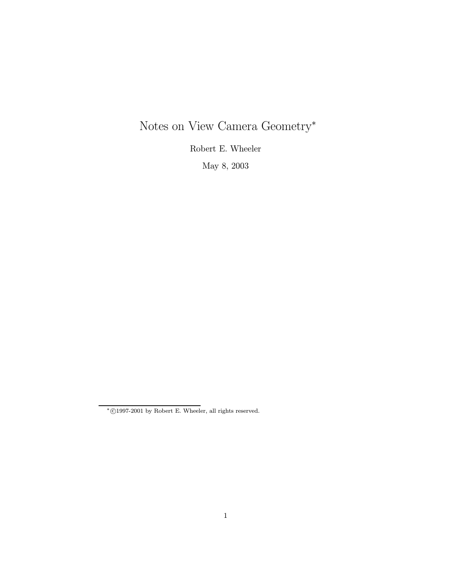# Notes on View Camera Geometry<sup>∗</sup>

Robert E. Wheeler

May 8, 2003

 $*$ ©1997-2001 by Robert E. Wheeler, all rights reserved.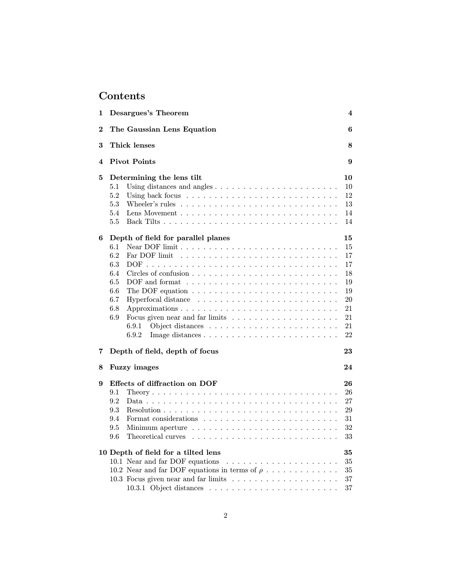## Contents

| 1 | Desargues's Theorem<br>4                                                                     |    |  |  |  |  |  |  |
|---|----------------------------------------------------------------------------------------------|----|--|--|--|--|--|--|
| 2 | The Gaussian Lens Equation                                                                   | 6  |  |  |  |  |  |  |
| 3 | Thick lenses<br>8                                                                            |    |  |  |  |  |  |  |
| 4 | <b>Pivot Points</b>                                                                          | 9  |  |  |  |  |  |  |
| 5 | Determining the lens tilt                                                                    | 10 |  |  |  |  |  |  |
|   | 5.1<br>Using distances and angles $\ldots \ldots \ldots \ldots \ldots \ldots \ldots$         | 10 |  |  |  |  |  |  |
|   | 5.2<br>Using back focus $\ldots \ldots \ldots \ldots \ldots \ldots \ldots \ldots$            | 12 |  |  |  |  |  |  |
|   | 5.3<br>Wheeler's rules                                                                       | 13 |  |  |  |  |  |  |
|   | 5.4                                                                                          | 14 |  |  |  |  |  |  |
|   | 5.5                                                                                          | 14 |  |  |  |  |  |  |
| 6 | Depth of field for parallel planes                                                           | 15 |  |  |  |  |  |  |
|   | $6.1\,$                                                                                      | 15 |  |  |  |  |  |  |
|   | 6.2<br>Far DOF limit                                                                         | 17 |  |  |  |  |  |  |
|   | 6.3                                                                                          | 17 |  |  |  |  |  |  |
|   | 6.4<br>Circles of confusion $\ldots \ldots \ldots \ldots \ldots \ldots \ldots \ldots \ldots$ | 18 |  |  |  |  |  |  |
|   | 6.5                                                                                          | 19 |  |  |  |  |  |  |
|   | $6.6\,$                                                                                      | 19 |  |  |  |  |  |  |
|   | 6.7<br>Hyperfocal distance $\ldots \ldots \ldots \ldots \ldots \ldots \ldots \ldots$         | 20 |  |  |  |  |  |  |
|   | 6.8                                                                                          | 21 |  |  |  |  |  |  |
|   | 6.9<br>Focus given near and far limits                                                       | 21 |  |  |  |  |  |  |
|   | 6.9.1                                                                                        | 21 |  |  |  |  |  |  |
|   | 6.9.2                                                                                        | 22 |  |  |  |  |  |  |
| 7 | Depth of field, depth of focus                                                               | 23 |  |  |  |  |  |  |
| 8 | <b>Fuzzy</b> images                                                                          | 24 |  |  |  |  |  |  |
| 9 | Effects of diffraction on DOF                                                                | 26 |  |  |  |  |  |  |
|   | 9.1                                                                                          | 26 |  |  |  |  |  |  |
|   | 9.2                                                                                          | 27 |  |  |  |  |  |  |
|   | 9.3                                                                                          | 29 |  |  |  |  |  |  |
|   | 9.4<br>Format considerations                                                                 | 31 |  |  |  |  |  |  |
|   | 9.5<br>Minimum aperture $\ldots \ldots \ldots \ldots \ldots \ldots \ldots \ldots$            | 32 |  |  |  |  |  |  |
|   | 9.6                                                                                          | 33 |  |  |  |  |  |  |
|   |                                                                                              |    |  |  |  |  |  |  |
|   | 10 Depth of field for a tilted lens                                                          | 35 |  |  |  |  |  |  |
|   | 10.1 Near and far DOF equations                                                              | 35 |  |  |  |  |  |  |
|   | 10.2 Near and far DOF equations in terms of $\rho$                                           | 35 |  |  |  |  |  |  |
|   |                                                                                              | 37 |  |  |  |  |  |  |
|   |                                                                                              | 37 |  |  |  |  |  |  |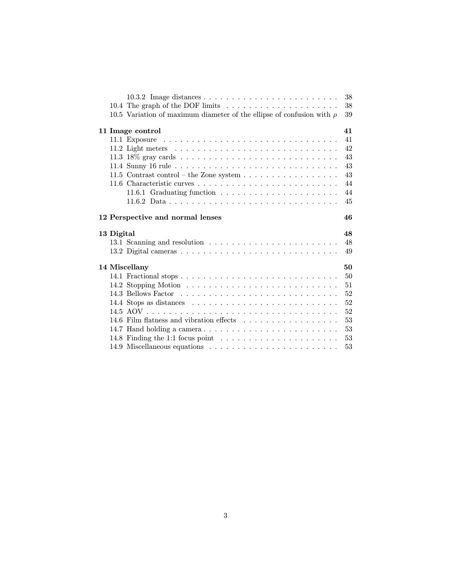|            |                                                                                                                   | 38 |
|------------|-------------------------------------------------------------------------------------------------------------------|----|
|            |                                                                                                                   | 38 |
|            | 10.5 Variation of maximum diameter of the ellipse of confusion with $\rho$                                        | 39 |
|            | 11 Image control                                                                                                  | 41 |
|            |                                                                                                                   | 41 |
|            | 11.2 Light meters $\dots \dots \dots \dots \dots \dots \dots \dots \dots \dots \dots \dots$                       | 42 |
|            |                                                                                                                   | 43 |
|            |                                                                                                                   | 43 |
|            | 11.5 Contrast control – the Zone system $\ldots \ldots \ldots \ldots \ldots$                                      | 43 |
|            |                                                                                                                   | 44 |
|            |                                                                                                                   | 44 |
|            |                                                                                                                   | 45 |
|            | 12 Perspective and normal lenses                                                                                  | 46 |
|            |                                                                                                                   |    |
| 13 Digital |                                                                                                                   | 48 |
|            |                                                                                                                   | 48 |
|            |                                                                                                                   | 49 |
|            | 14 Miscellany                                                                                                     | 50 |
|            |                                                                                                                   | 50 |
|            |                                                                                                                   | 51 |
|            |                                                                                                                   | 52 |
|            |                                                                                                                   | 52 |
|            |                                                                                                                   | 52 |
|            | 14.6 Film flatness and vibration effects                                                                          | 53 |
|            |                                                                                                                   | 53 |
|            | 14.7 Hand holding a camera<br>14.8 Finding the 1:1 focus point $\ldots \ldots \ldots \ldots \ldots \ldots \ldots$ | 53 |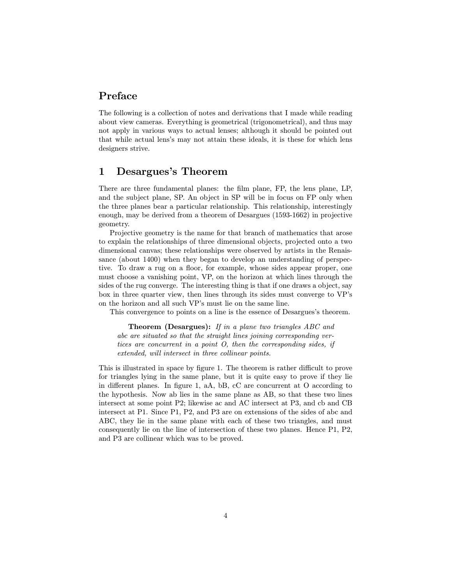## Preface

The following is a collection of notes and derivations that I made while reading about view cameras. Everything is geometrical (trigonometrical), and thus may not apply in various ways to actual lenses; although it should be pointed out that while actual lens's may not attain these ideals, it is these for which lens designers strive.

## 1 Desargues's Theorem

There are three fundamental planes: the film plane, FP, the lens plane, LP, and the subject plane, SP. An object in SP will be in focus on FP only when the three planes bear a particular relationship. This relationship, interestingly enough, may be derived from a theorem of Desargues (1593-1662) in projective geometry.

Projective geometry is the name for that branch of mathematics that arose to explain the relationships of three dimensional objects, projected onto a two dimensional canvas; these relationships were observed by artists in the Renaissance (about 1400) when they began to develop an understanding of perspective. To draw a rug on a floor, for example, whose sides appear proper, one must choose a vanishing point, VP, on the horizon at which lines through the sides of the rug converge. The interesting thing is that if one draws a object, say box in three quarter view, then lines through its sides must converge to VP's on the horizon and all such VP's must lie on the same line.

This convergence to points on a line is the essence of Desargues's theorem.

Theorem (Desargues): If in a plane two triangles ABC and abc are situated so that the straight lines joining corresponding vertices are concurrent in a point O, then the corresponding sides, if extended, will intersect in three collinear points.

This is illustrated in space by figure 1. The theorem is rather difficult to prove for triangles lying in the same plane, but it is quite easy to prove if they lie in different planes. In figure 1, aA, bB, cC are concurrent at O according to the hypothesis. Now ab lies in the same plane as AB, so that these two lines intersect at some point P2; likewise ac and AC intersect at P3, and cb and CB intersect at P1. Since P1, P2, and P3 are on extensions of the sides of abc and ABC, they lie in the same plane with each of these two triangles, and must consequently lie on the line of intersection of these two planes. Hence P1, P2, and P3 are collinear which was to be proved.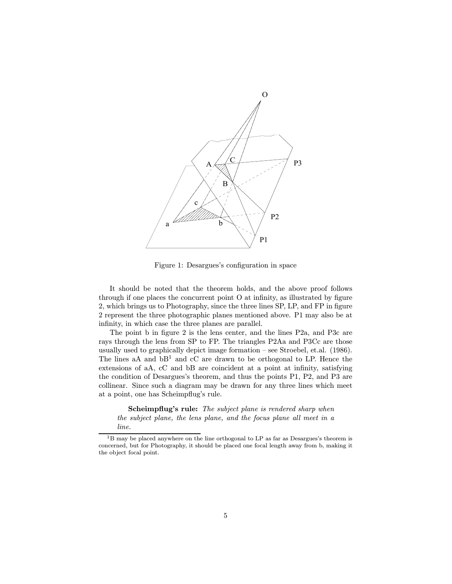

Figure 1: Desargues's configuration in space

It should be noted that the theorem holds, and the above proof follows through if one places the concurrent point O at infinity, as illustrated by figure 2, which brings us to Photography, since the three lines SP, LP, and FP in figure 2 represent the three photographic planes mentioned above. P1 may also be at infinity, in which case the three planes are parallel.

The point b in figure 2 is the lens center, and the lines P2a, and P3c are rays through the lens from SP to FP. The triangles P2Aa and P3Cc are those usually used to graphically depict image formation — see Stroebel, et.al. (1986). The lines aA and  $bB<sup>1</sup>$  and cC are drawn to be orthogonal to LP. Hence the extensions of aA, cC and bB are coincident at a point at infinity, satisfying the condition of Desargues's theorem, and thus the points P1, P2, and P3 are collinear. Since such a diagram may be drawn for any three lines which meet at a point, one has Scheimpflug's rule.

Scheimpflug's rule: The subject plane is rendered sharp when the subject plane, the lens plane, and the focus plane all meet in a line.

<sup>&</sup>lt;sup>1</sup>B may be placed anywhere on the line orthogonal to LP as far as Desargues's theorem is concerned, but for Photography, it should be placed one focal length away from b, making it the object focal point.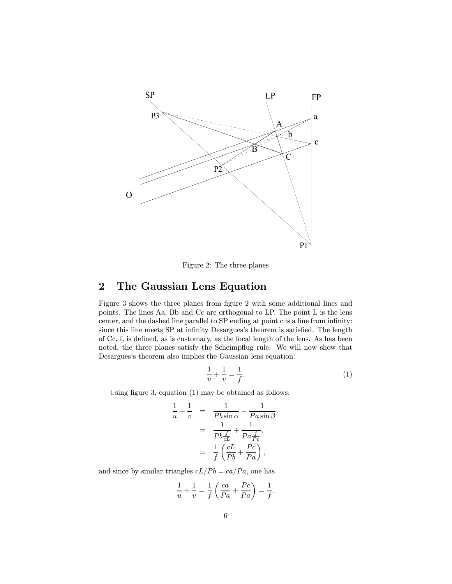

Figure 2: The three planes

## 2 The Gaussian Lens Equation

Figure 3 shows the three planes from figure 2 with some additional lines and points. The lines Aa, Bb and Cc are orthogonal to LP. The point L is the lens center, and the dashed line parallel to SP ending at point c is a line from infinity: since this line meets SP at infinity Desargues's theorem is satisfied. The length of Cc, f, is defined, as is customary, as the focal length of the lens. As has been noted, the three planes satisfy the Scheimpflug rule. We will now show that Desargues's theorem also implies the Gaussian lens equation:

$$
\frac{1}{u} + \frac{1}{v} = \frac{1}{f}.\tag{1}
$$

Using figure 3, equation (1) may be obtained as follows:

$$
\frac{1}{u} + \frac{1}{v} = \frac{1}{Pb \sin \alpha} + \frac{1}{Pa \sin \beta},
$$

$$
= \frac{1}{Pb \frac{f}{cL}} + \frac{1}{Pa \frac{f}{Pc}},
$$

$$
= \frac{1}{f} \left( \frac{cL}{Pb} + \frac{Pc}{Pa} \right),
$$

and since by similar triangles  $cL/Pb = ca/Pa$ , one has

$$
\frac{1}{u} + \frac{1}{v} = \frac{1}{f} \left( \frac{ca}{Pa} + \frac{Pc}{Pa} \right) = \frac{1}{f}.
$$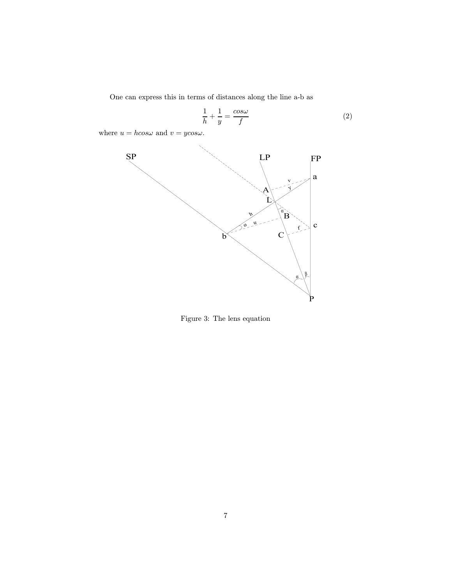One can express this in terms of distances along the line a-b as

$$
\frac{1}{h} + \frac{1}{y} = \frac{\cos \omega}{f}
$$
 (2)

where  $u = h \cos \omega$  and  $v = y \cos \omega$ .



Figure 3: The lens equation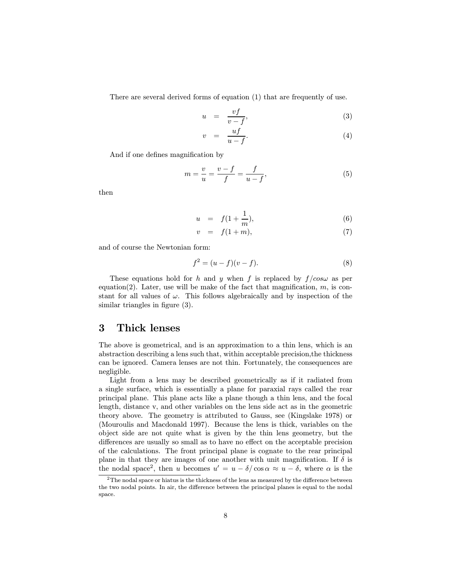There are several derived forms of equation (1) that are frequently of use.

$$
u = \frac{vf}{v - f}, \tag{3}
$$

$$
v = \frac{uf}{u - f}.\tag{4}
$$

And if one defines magnification by

$$
m = \frac{v}{u} = \frac{v - f}{f} = \frac{f}{u - f},\tag{5}
$$

then

$$
u = f(1 + \frac{1}{m}), \t\t(6)
$$

$$
v = f(1+m), \tag{7}
$$

and of course the Newtonian form:

$$
f^{2} = (u - f)(v - f).
$$
 (8)

These equations hold for h and y when f is replaced by  $f / cos \omega$  as per equation(2). Later, use will be make of the fact that magnification,  $m$ , is constant for all values of  $\omega$ . This follows algebraically and by inspection of the similar triangles in figure (3).

## 3 Thick lenses

The above is geometrical, and is an approximation to a thin lens, which is an abstraction describing a lens such that, within acceptable precision,the thickness can be ignored. Camera lenses are not thin. Fortunately, the consequences are negligible.

Light from a lens may be described geometrically as if it radiated from a single surface, which is essentially a plane for paraxial rays called the rear principal plane. This plane acts like a plane though a thin lens, and the focal length, distance v, and other variables on the lens side act as in the geometric theory above. The geometry is attributed to Gauss, see (Kingslake 1978) or (Mouroulis and Macdonald 1997). Because the lens is thick, variables on the object side are not quite what is given by the thin lens geometry, but the differences are usually so small as to have no effect on the acceptable precision of the calculations. The front principal plane is cognate to the rear principal plane in that they are images of one another with unit magnification. If  $\delta$  is the nodal space<sup>2</sup>, then u becomes  $u' = u - \delta/\cos \alpha \approx u - \delta$ , where  $\alpha$  is the

 $2$ The nodal space or hiatus is the thickness of the lens as measured by the difference between the two nodal points. In air, the difference between the principal planes is equal to the nodal space.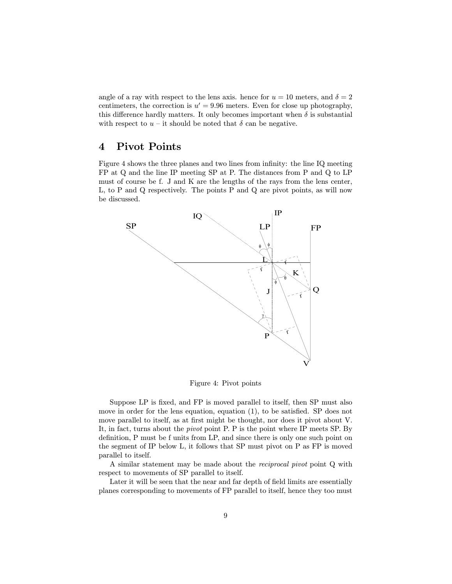angle of a ray with respect to the lens axis. hence for  $u = 10$  meters, and  $\delta = 2$ centimeters, the correction is  $u' = 9.96$  meters. Even for close up photography, this difference hardly matters. It only becomes important when  $\delta$  is substantial with respect to  $u$  – it should be noted that  $\delta$  can be negative.

## 4 Pivot Points

Figure 4 shows the three planes and two lines from infinity: the line IQ meeting FP at Q and the line IP meeting SP at P. The distances from P and Q to LP must of course be f. J and K are the lengths of the rays from the lens center, L, to P and Q respectively. The points P and Q are pivot points, as will now be discussed.



Figure 4: Pivot points

Suppose LP is fixed, and FP is moved parallel to itself, then SP must also move in order for the lens equation, equation (1), to be satisfied. SP does not move parallel to itself, as at first might be thought, nor does it pivot about V. It, in fact, turns about the pivot point P. P is the point where IP meets SP. By definition, P must be f units from LP, and since there is only one such point on the segment of IP below L, it follows that SP must pivot on P as FP is moved parallel to itself.

A similar statement may be made about the reciprocal pivot point Q with respect to movements of SP parallel to itself.

Later it will be seen that the near and far depth of field limits are essentially planes corresponding to movements of FP parallel to itself, hence they too must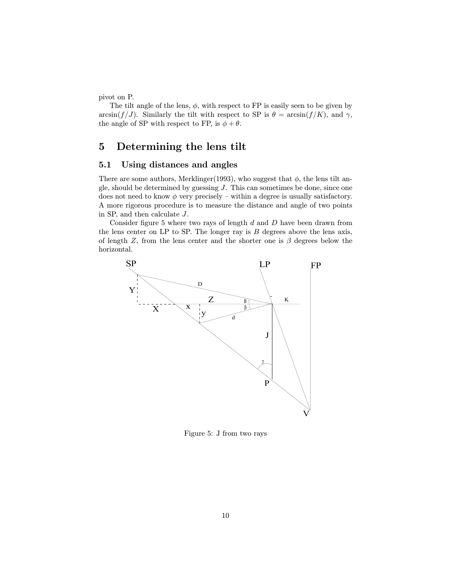pivot on P.

The tilt angle of the lens,  $\phi$ , with respect to FP is easily seen to be given by  $arcsin(f/J)$ . Similarly the tilt with respect to SP is  $\theta = \arcsin(f/K)$ , and  $\gamma$ , the angle of SP with respect to FP, is  $\phi + \theta$ .

## 5 Determining the lens tilt

## 5.1 Using distances and angles

There are some authors, Merklinger(1993), who suggest that  $\phi$ , the lens tilt angle, should be determined by guessing  $J$ . This can sometimes be done, since one does not need to know  $\phi$  very precisely – within a degree is usually satisfactory. A more rigorous procedure is to measure the distance and angle of two points in SP, and then calculate J.

Consider figure 5 where two rays of length  $d$  and  $D$  have been drawn from the lens center on LP to SP. The longer ray is  $B$  degrees above the lens axis, of length Z, from the lens center and the shorter one is  $\beta$  degrees below the horizontal.



Figure 5: J from two rays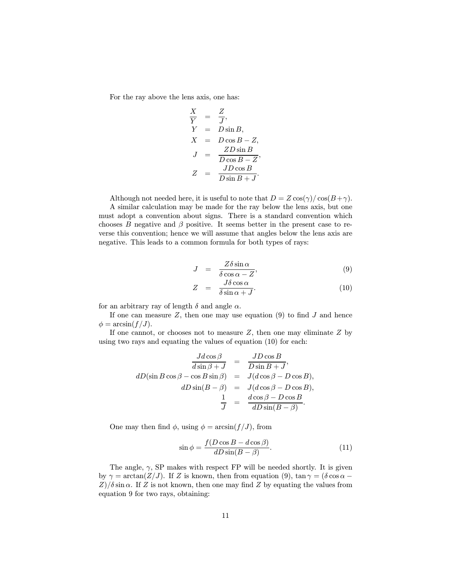For the ray above the lens axis, one has:

$$
\begin{array}{rcl}\n\frac{X}{Y} &=& \frac{Z}{J}, \\
Y &=& D\sin B, \\
X &=& D\cos B - Z, \\
J &=& \frac{ZD\sin B}{D\cos B - Z}, \\
Z &=& \frac{JD\cos B}{D\sin B + J}.\n\end{array}
$$

Although not needed here, it is useful to note that  $D = Z \cos(\gamma) / \cos(B+\gamma)$ . A similar calculation may be made for the ray below the lens axis, but one must adopt a convention about signs. There is a standard convention which chooses B negative and  $\beta$  positive. It seems better in the present case to re-

verse this convention; hence we will assume that angles below the lens axis are

negative. This leads to a common formula for both types of rays:

$$
J = \frac{Z\delta\sin\alpha}{\delta\cos\alpha - Z},\tag{9}
$$

$$
Z = \frac{J\delta\cos\alpha}{\delta\sin\alpha + J}.
$$
 (10)

for an arbitrary ray of length  $\delta$  and angle  $\alpha$ .

If one can measure  $Z$ , then one may use equation (9) to find  $J$  and hence  $\phi = \arcsin(f/J).$ 

If one cannot, or chooses not to measure  $Z$ , then one may eliminate  $Z$  by using two rays and equating the values of equation (10) for each:

$$
\frac{Jd\cos\beta}{d\sin\beta + J} = \frac{JD\cos B}{D\sin B + J},
$$
  
\n
$$
dD(\sin B\cos\beta - \cos B\sin\beta) = J(d\cos\beta - D\cos B),
$$
  
\n
$$
dD\sin(B - \beta) = J(d\cos\beta - D\cos B),
$$
  
\n
$$
\frac{1}{J} = \frac{d\cos\beta - D\cos B}{dD\sin(B - \beta)}.
$$

One may then find  $\phi$ , using  $\phi = \arcsin(f/J)$ , from

$$
\sin \phi = \frac{f(D\cos B - d\cos \beta)}{dD\sin(B - \beta)}.
$$
\n(11)

The angle,  $\gamma$ , SP makes with respect FP will be needed shortly. It is given by  $\gamma = \arctan(Z/J)$ . If Z is known, then from equation (9),  $\tan \gamma = (\delta \cos \alpha Z/\delta \sin \alpha$ . If Z is not known, then one may find Z by equating the values from equation 9 for two rays, obtaining: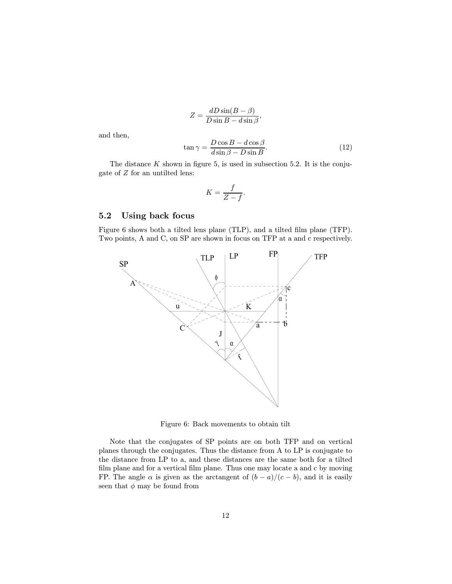$$
Z = \frac{dD\sin(B - \beta)}{D\sin B - d\sin\beta},
$$
  

$$
\tan\gamma = \frac{D\cos B - d\cos\beta}{D\sin B - D\sin B}.
$$
 (12)

and then,

$$
\tan \gamma = \frac{D \cos B - d \cos \beta}{d \sin \beta - D \sin B}.
$$
\n(12)

The distance  $K$  shown in figure 5, is used in subsection 5.2. It is the conjugate of Z for an untilted lens:

$$
K = \frac{f}{Z - f}.
$$

## 5.2 Using back focus

Figure 6 shows both a tilted lens plane (TLP), and a tilted film plane (TFP). Two points, A and C, on SP are shown in focus on TFP at a and c respectively.



Figure 6: Back movements to obtain tilt

Note that the conjugates of SP points are on both TFP and on vertical planes through the conjugates. Thus the distance from A to LP is conjugate to the distance from LP to a, and these distances are the same both for a tilted film plane and for a vertical film plane. Thus one may locate a and c by moving FP. The angle  $\alpha$  is given as the arctangent of  $(b - a)/(c - b)$ , and it is easily seen that  $\phi$  may be found from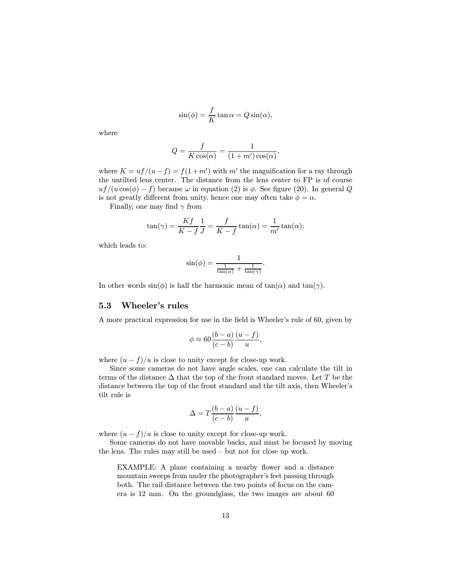$$
\sin(\phi) = \frac{f}{K} \tan \alpha = Q \sin(\alpha),
$$

where

$$
Q = \frac{f}{K\cos(\alpha)} = \frac{1}{(1+m')\cos(\alpha)},
$$

where  $K = uf/(u-f) = f(1+m')$  with m' the magnification for a ray through the untilted lens center. The distance from the lens center to FP is of course  $uf/(u \cos(\phi) - f)$  because  $\omega$  in equation (2) is  $\phi$ . See figure (20). In general Q is not greatly different from unity, hence one may often take  $\phi = \alpha$ .

Finally, one may find  $\gamma$  from

$$
\tan(\gamma) = \frac{Kf}{K - f} \frac{1}{J} = \frac{f}{K - f} \tan(\alpha) = \frac{1}{m'} \tan(\alpha);
$$

which leads to:

$$
\sin(\phi) = \frac{1}{\frac{1}{\tan(\alpha)} + \frac{1}{\tan(\gamma)}}.
$$

In other words  $sin(\phi)$  is half the harmonic mean of  $tan(\alpha)$  and  $tan(\gamma)$ .

### 5.3 Wheeler's rules

A more practical expression for use in the field is Wheeler's rule of 60, given by

$$
\phi \approx 60 \frac{(b-a)}{(c-b)} \frac{(u-f)}{u},
$$

where  $(u - f)/u$  is close to unity except for close-up work.

Since some cameras do not have angle scales, one can calculate the tilt in terms of the distance  $\Delta$  that the top of the front standard moves. Let T be the distance between the top of the front standard and the tilt axis, then Wheeler's tilt rule is

$$
\Delta = T \frac{(b-a)}{(c-b)} \frac{(u-f)}{u},
$$

where  $(u - f)/u$  is close to unity except for close-up work.

Some cameras do not have movable backs, and must be focused by moving the lens. The rules may still be used — but not for close up work.

EXAMPLE: A plane containing a nearby flower and a distance mountain sweeps from under the photographer's feet passing through both. The rail distance between the two points of focus on the camera is 12 mm. On the groundglass, the two images are about 60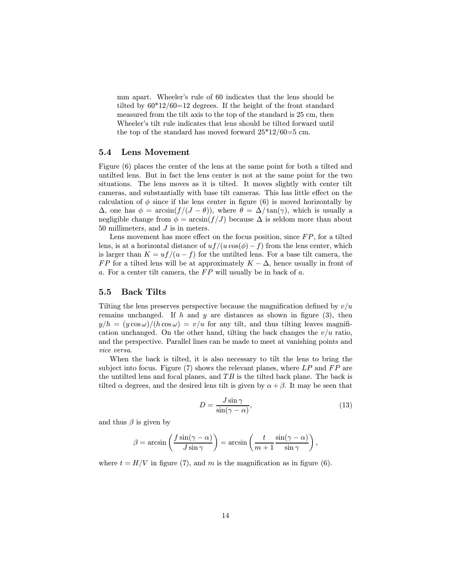mm apart. Wheeler's rule of 60 indicates that the lens should be tilted by 60\*12/60=12 degrees. If the height of the front standard measured from the tilt axis to the top of the standard is 25 cm, then Wheeler's tilt rule indicates that lens should be tilted forward until the top of the standard has moved forward  $25*12/60=5$  cm.

## 5.4 Lens Movement

Figure (6) places the center of the lens at the same point for both a tilted and untilted lens. But in fact the lens center is not at the same point for the two situations. The lens moves as it is tilted. It moves slightly with center tilt cameras, and substantially with base tilt cameras. This has little effect on the calculation of  $\phi$  since if the lens center in figure (6) is moved horizontally by  $\Delta$ , one has  $\phi = \arcsin(f/(J - \theta))$ , where  $\theta = \Delta/\tan(\gamma)$ , which is usually a negligible change from  $\phi = \arcsin(f/J)$  because  $\Delta$  is seldom more than about 50 millimeters, and  $J$  is in meters.

Lens movement has more effect on the focus position, since  $FP$ , for a tilted lens, is at a horizontal distance of  $uf/(u \cos(\phi) - f)$  from the lens center, which is larger than  $K = uf/(u - f)$  for the untilted lens. For a base tilt camera, the FP for a tilted lens will be at approximately  $K - \Delta$ , hence usually in front of a. For a center tilt camera, the  $FP$  will usually be in back of  $a$ .

#### 5.5 Back Tilts

Tilting the lens preserves perspective because the magnification defined by  $v/u$ remains unchanged. If h and y are distances as shown in figure (3), then  $y/h = (y \cos \omega)/(h \cos \omega) = v/u$  for any tilt, and thus tilting leaves magnification unchanged. On the other hand, tilting the back changes the  $v/u$  ratio, and the perspective. Parallel lines can be made to meet at vanishing points and vice versa.

When the back is tilted, it is also necessary to tilt the lens to bring the subject into focus. Figure  $(7)$  shows the relevant planes, where LP and FP are the untilted lens and focal planes, and  $TB$  is the tilted back plane. The back is tilted  $\alpha$  degrees, and the desired lens tilt is given by  $\alpha + \beta$ . It may be seen that

$$
D = \frac{J\sin\gamma}{\sin(\gamma - \alpha)},\tag{13}
$$

and thus  $\beta$  is given by

$$
\beta = \arcsin\left(\frac{f\sin(\gamma - \alpha)}{J\sin\gamma}\right) = \arcsin\left(\frac{t}{m+1}\frac{\sin(\gamma - \alpha)}{\sin\gamma}\right),\,
$$

where  $t = H/V$  in figure (7), and m is the magnification as in figure (6).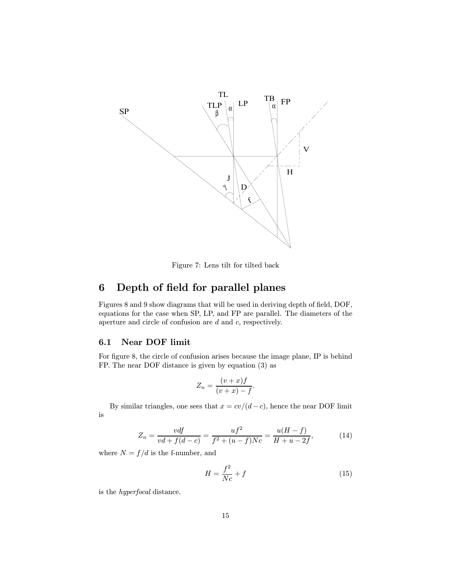

Figure 7: Lens tilt for tilted back

## 6 Depth of field for parallel planes

Figures 8 and 9 show diagrams that will be used in deriving depth of field, DOF, equations for the case when SP, LP, and FP are parallel. The diameters of the aperture and circle of confusion are d and c, respectively.

## 6.1 Near DOF limit

For figure 8, the circle of confusion arises because the image plane, IP is behind FP. The near DOF distance is given by equation (3) as

$$
Z_n = \frac{(v+x)f}{(v+x)-f}.
$$

By similar triangles, one sees that  $x = cv/(d-c)$ , hence the near DOF limit is

$$
Z_n = \frac{vdf}{vd + f(d - c)} = \frac{uf^2}{f^2 + (u - f)Nc} = \frac{u(H - f)}{H + u - 2f},
$$
(14)

where  $N = f/d$  is the f-number, and

$$
H = \frac{f^2}{Nc} + f\tag{15}
$$

is the hyperfocal distance.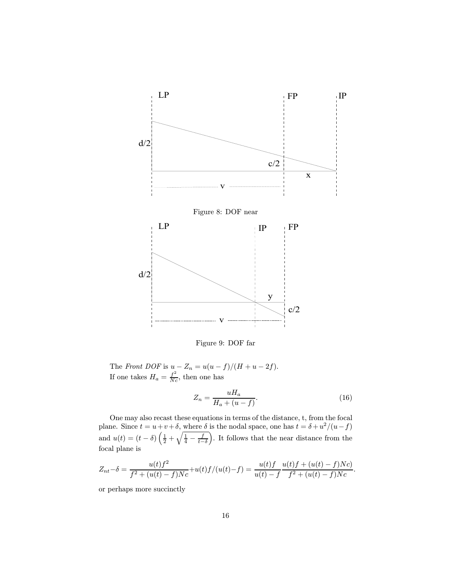

Figure 9: DOF far

The Front DOF is  $u - Z_n = u(u - f)/(H + u - 2f)$ . If one takes  $H_a = \frac{f^2}{N_c}$ , then one has

$$
Z_n = \frac{uH_a}{H_a + (u - f)}.\tag{16}
$$

One may also recast these equations in terms of the distance, t, from the focal plane. Since  $t = u + v + \delta$ , where  $\delta$  is the nodal space, one has  $t = \delta + u^2/(u - f)$ and  $u(t) = (t - \delta) \left( \frac{1}{2} + \sqrt{\frac{1}{4} - \frac{f}{t - \delta}} \right)$ Q . It follows that the near distance from the focal plane is

$$
Z_{nt} - \delta = \frac{u(t)f^2}{f^2 + (u(t) - f)Nc} + u(t)f/(u(t) - f) = \frac{u(t)f}{u(t) - f} \frac{u(t)f + (u(t) - f)Nc}{f^2 + (u(t) - f)Nc}.
$$

or perhaps more succinctly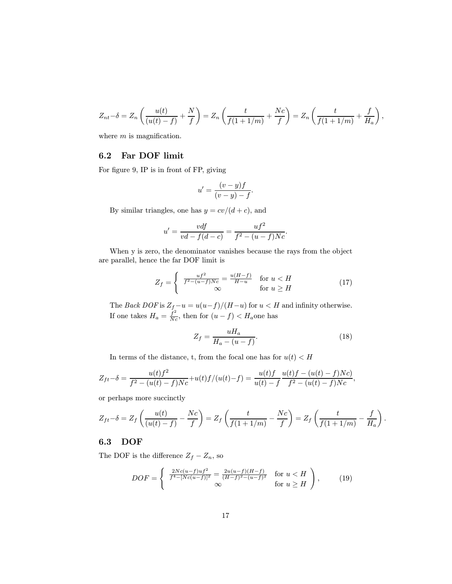$$
Z_{nt} - \delta = Z_n \left( \frac{u(t)}{(u(t) - f)} + \frac{N}{f} \right) = Z_n \left( \frac{t}{f(1 + 1/m)} + \frac{Nc}{f} \right) = Z_n \left( \frac{t}{f(1 + 1/m)} + \frac{f}{H_a} \right),
$$

where  $m$  is magnification.

## 6.2 Far DOF limit

For figure 9, IP is in front of FP, giving

$$
u' = \frac{(v - y)f}{(v - y) - f}.
$$

By similar triangles, one has  $y = cv/(d + c)$ , and

$$
u' = \frac{vdf}{vd - f(d - c)} = \frac{uf^2}{f^2 - (u - f)Nc}.
$$

When y is zero, the denominator vanishes because the rays from the object are parallel, hence the far DOF limit is

$$
Z_f = \begin{cases} \frac{uf^2}{f^2 - (u-f)Nc} = \frac{u(H-f)}{H-u} & \text{for } u < H\\ \infty & \text{for } u \ge H \end{cases}
$$
 (17)

The Back DOF is  $Z_f - u = u(u-f)/(H-u)$  for  $u < H$  and infinity otherwise. If one takes  $H_a = \frac{f^2}{Nc}$ , then for  $(u - f) < H_a$ one has

$$
Z_f = \frac{uH_a}{H_a - (u - f)}.\tag{18}
$$

.

In terms of the distance, t, from the focal one has for  $u(t) < H$ 

$$
Z_{ft} - \delta = \frac{u(t)f^2}{f^2 - (u(t) - f)Nc} + u(t)f/(u(t) - f) = \frac{u(t)f}{u(t) - f} \frac{u(t)f - (u(t) - f)Nc}{f^2 - (u(t) - f)Nc},
$$

or perhaps more succinctly

$$
Z_{ft} - \delta = Z_f \left( \frac{u(t)}{(u(t) - f)} - \frac{Nc}{f} \right) = Z_f \left( \frac{t}{f(1 + 1/m)} - \frac{Nc}{f} \right) = Z_f \left( \frac{t}{f(1 + 1/m)} - \frac{f}{H_a} \right)
$$

## 6.3 DOF

The DOF is the difference  $Z_f - Z_n$ , so

$$
DOF = \begin{cases} \frac{2Nc(u-f)uf^2}{f^4 - [Nc(u-f)]^2} = \frac{2u(u-f)(H-f)}{(H-f)^2 - (u-f)^2} & \text{for } u < H \\ \infty & \text{for } u \ge H \end{cases}, \qquad (19)
$$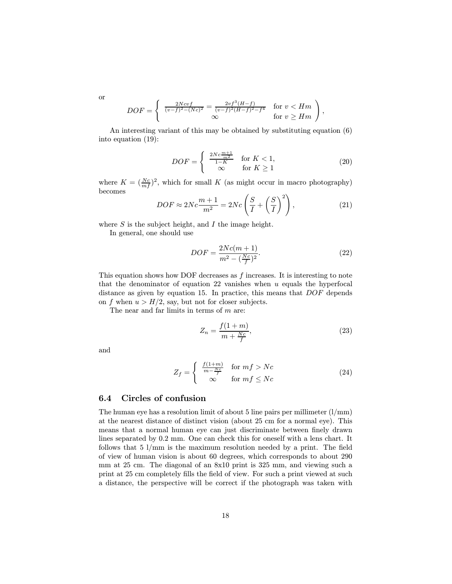$$
DOF = \begin{cases} \frac{2Ncvf}{(v-f)^2 - (Nc)^2} = \frac{2vf^3(H-f)}{(v-f)^2(H-f)^2 - f^4} & \text{for } v < Hm \\ \infty & \text{for } v \ge Hm \end{cases},
$$

An interesting variant of this may be obtained by substituting equation (6) into equation (19):

$$
DOF = \begin{cases} \frac{2Nc\frac{m+1}{m^2}}{1-K} & \text{for } K < 1, \\ \infty & \text{for } K \ge 1 \end{cases}
$$
 (20)

where  $K = \left(\frac{Nc}{mf}\right)^2$ , which for small K (as might occur in macro photography) becomes

$$
DOF \approx 2Nc \frac{m+1}{m^2} = 2Nc \left(\frac{S}{I} + \left(\frac{S}{I}\right)^2\right),\tag{21}
$$

where  $S$  is the subject height, and  $I$  the image height.

In general, one should use

$$
DOF = \frac{2Nc(m+1)}{m^2 - (\frac{Nc}{f})^2}.
$$
\n(22)

This equation shows how DOF decreases as  $f$  increases. It is interesting to note that the denominator of equation 22 vanishes when  $u$  equals the hyperfocal distance as given by equation 15. In practice, this means that DOF depends on f when  $u > H/2$ , say, but not for closer subjects.

The near and far limits in terms of  $m$  are:

$$
Z_n = \frac{f(1+m)}{m + \frac{Nc}{f}},\tag{23}
$$

and

$$
Z_f = \begin{cases} \frac{f(1+m)}{m - \frac{Nc}{f}} & \text{for } mf > Nc\\ \infty & \text{for } mf \le Nc \end{cases}
$$
 (24)

## 6.4 Circles of confusion

The human eye has a resolution limit of about 5 line pairs per millimeter  $(1/\text{mm})$ at the nearest distance of distinct vision (about 25 cm for a normal eye). This means that a normal human eye can just discriminate between finely drawn lines separated by 0.2 mm. One can check this for oneself with a lens chart. It follows that  $5 \frac{1}{\text{mm}}$  is the maximum resolution needed by a print. The field of view of human vision is about 60 degrees, which corresponds to about 290 mm at 25 cm. The diagonal of an 8x10 print is 325 mm, and viewing such a print at 25 cm completely fills the field of view. For such a print viewed at such a distance, the perspective will be correct if the photograph was taken with

or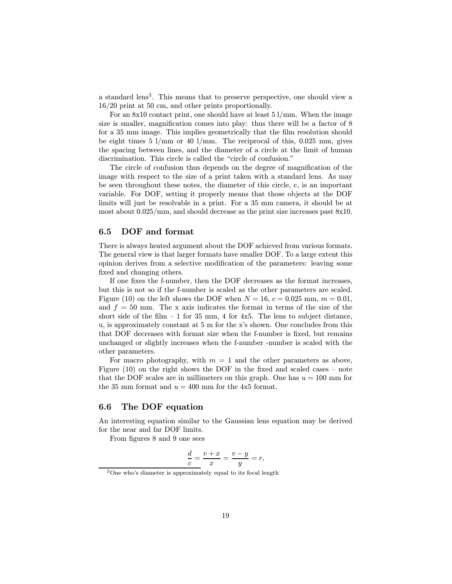a standard lens<sup>3</sup>. This means that to preserve perspective, one should view a 16/20 print at 50 cm, and other prints proportionally.

For an  $8x10$  contact print, one should have at least 5  $1/\text{mm}$ . When the image size is smaller, magnification comes into play: thus there will be a factor of 8 for a 35 mm image. This implies geometrically that the film resolution should be eight times 5 l/mm or 40 l/mm. The reciprocal of this, 0.025 mm, gives the spacing between lines, and the diameter of a circle at the limit of human discrimination. This circle is called the "circle of confusion."

The circle of confusion thus depends on the degree of magnification of the image with respect to the size of a print taken with a standard lens. As may be seen throughout these notes, the diameter of this circle, c, is an important variable. For DOF, setting it properly means that those objects at the DOF limits will just be resolvable in a print. For a 35 mm camera, it should be at most about 0.025/mm, and should decrease as the print size increases past 8x10.

## 6.5 DOF and format

There is always heated argument about the DOF achieved from various formats. The general view is that larger formats have smaller DOF. To a large extent this opinion derives from a selective modification of the parameters: leaving some fixed and changing others.

If one fixes the f-number, then the DOF decreases as the format increases, but this is not so if the f-number is scaled as the other parameters are scaled. Figure (10) on the left shows the DOF when  $N = 16$ ,  $c = 0.025$  mm,  $m = 0.01$ , and  $f = 50$  mm. The x axis indicates the format in terms of the size of the short side of the film  $-1$  for 35 mm, 4 for 4x5. The lens to subject distance, u, is approximately constant at 5 m for the x's shown. One concludes from this that DOF decreases with format size when the f-number is fixed, but remains unchanged or slightly increases when the f-number -number is scaled with the other parameters.

For macro photography, with  $m = 1$  and the other parameters as above, Figure (10) on the right shows the DOF in the fixed and scaled cases — note that the DOF scales are in millimeters on this graph. One has  $u = 100$  mm for the 35 mm format and  $u = 400$  mm for the 4x5 format.

## 6.6 The DOF equation

An interesting equation similar to the Gaussian lens equation may be derived for the near and far DOF limits.

From figures 8 and 9 one sees

$$
\frac{d}{c} = \frac{v+x}{x} = \frac{v-y}{y} = r,
$$

<sup>&</sup>lt;sup>3</sup>One who's diameter is approximately equal to its focal length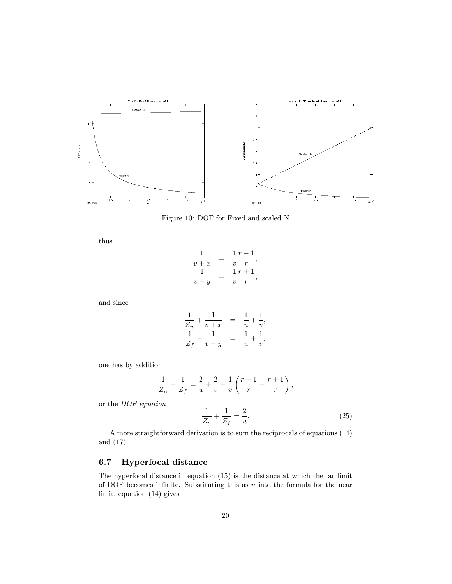

Figure 10: DOF for Fixed and scaled N

thus

$$
\frac{1}{v+x} = \frac{1}{v} \frac{r-1}{r},
$$
  

$$
\frac{1}{v-y} = \frac{1}{v} \frac{r+1}{r},
$$

and since

$$
\frac{1}{Z_n} + \frac{1}{v+x} = \frac{1}{u} + \frac{1}{v}, \n\frac{1}{Z_f} + \frac{1}{v-y} = \frac{1}{u} + \frac{1}{v},
$$

one has by addition

$$
\frac{1}{Z_n} + \frac{1}{Z_f} = \frac{2}{u} + \frac{2}{v} - \frac{1}{v} \left( \frac{r-1}{r} + \frac{r+1}{r} \right),
$$

or the DOF equation

$$
\frac{1}{Z_n} + \frac{1}{Z_f} = \frac{2}{u}.\tag{25}
$$

A more straightforward derivation is to sum the reciprocals of equations (14) and (17).

## 6.7 Hyperfocal distance

The hyperfocal distance in equation (15) is the distance at which the far limit of DOF becomes infinite. Substituting this as  $u$  into the formula for the near limit, equation (14) gives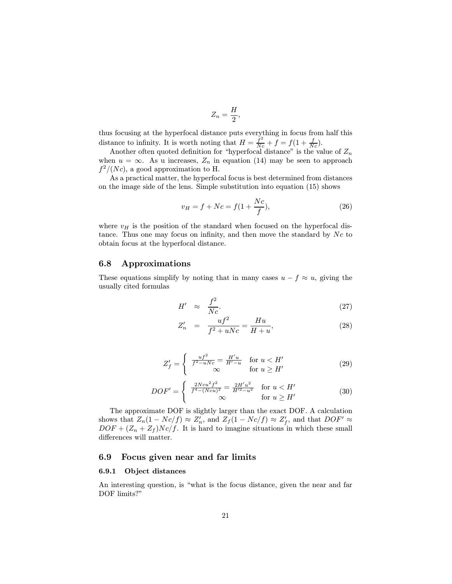$$
Z_n = \frac{H}{2},
$$

thus focusing at the hyperfocal distance puts everything in focus from half this distance to infinity. It is worth noting that  $H = \frac{f^2}{Nc} + f = f(1 + \frac{f}{Nc})$ .

Another often quoted definition for "hyperfocal distance" is the value of  $Z_n$ when  $u = \infty$ . As u increases,  $Z_n$  in equation (14) may be seen to approach  $f^2/(Nc)$ , a good approximation to H.

As a practical matter, the hyperfocal focus is best determined from distances on the image side of the lens. Simple substitution into equation (15) shows

$$
v_H = f + Nc = f(1 + \frac{Nc}{f}),
$$
\n(26)

where  $v_H$  is the position of the standard when focused on the hyperfocal distance. Thus one may focus on infinity, and then move the standard by  $N_c$  to obtain focus at the hyperfocal distance.

## 6.8 Approximations

These equations simplify by noting that in many cases  $u - f \approx u$ , giving the usually cited formulas

$$
H' \approx \frac{f^2}{Nc}.\tag{27}
$$

$$
Z_n' = \frac{uf^2}{f^2 + uNc} = \frac{Hu}{H + u},\tag{28}
$$

$$
Z'_f = \begin{cases} \frac{uf^2}{f^2 - uNc} = \frac{H'u}{H'-u} & \text{for } u < H'\\ \infty & \text{for } u \ge H' \end{cases}
$$
 (29)

$$
DOF' = \begin{cases} \frac{2Ncu^2f^2}{f^4 - (Ncu)^2} = \frac{2H'u^2}{H'^2 - u^2} & \text{for } u < H'\\ \infty & \text{for } u \ge H' \end{cases}
$$
 (30)

The approximate DOF is slightly larger than the exact DOF. A calculation shows that  $Z_n(1 - Nc/f) \approx Z'_n$ , and  $Z_f(1 - Nc/f) \approx Z'_f$ , and that  $DOF' \approx$  $DOF + (Z_n + Z_f)Nc/f$ . It is hard to imagine situations in which these small differences will matter.

## 6.9 Focus given near and far limits

#### 6.9.1 Object distances

An interesting question, is "what is the focus distance, given the near and far DOF limits?"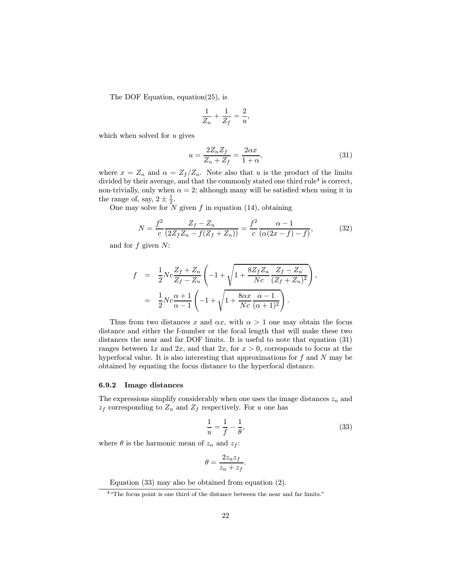The DOF Equation, equation(25), is

$$
\frac{1}{Z_n} + \frac{1}{Z_f} = \frac{2}{u},
$$

which when solved for  $u$  gives

$$
u = \frac{2Z_n Z_f}{Z_n + Z_f} = \frac{2\alpha x}{1 + \alpha},\tag{31}
$$

where  $x = Z_n$  and  $\alpha = Z_f/Z_n$ . Note also that u is the product of the limits divided by their average, and that the commonly stated one third rule<sup>4</sup> is correct, non-trivially, only when  $\alpha = 2$ ; although many will be satisfied when using it in the range of, say,  $2 \pm \frac{1}{2}$ .

One may solve for  $\overline{N}$  given f in equation (14), obtaining

$$
N = \frac{f^2}{c} \frac{Z_f - Z_n}{(2Z_f Z_n - f(Z_f + Z_n))} = \frac{f^2}{c} \frac{\alpha - 1}{(\alpha(2x - f) - f)},
$$
(32)

and for  $f$  given  $N$ :

$$
f = \frac{1}{2} N c \frac{Z_f + Z_n}{Z_f - Z_n} \left( -1 + \sqrt{1 + \frac{8Z_f Z_n}{Nc} \frac{Z_f - Z_n}{(Z_f + Z_n)^2}} \right),
$$
  
= 
$$
\frac{1}{2} N c \frac{\alpha + 1}{\alpha - 1} \left( -1 + \sqrt{1 + \frac{8\alpha x}{Nc} \frac{\alpha - 1}{(\alpha + 1)^2}} \right).
$$

Thus from two distances x and  $\alpha x$ , with  $\alpha > 1$  one may obtain the focus distance and either the f-number or the focal length that will make these two distances the near and far DOF limits. It is useful to note that equation (31) ranges between 1x and 2x, and that 2x, for  $x > 0$ , corresponds to focus at the hyperfocal value. It is also interesting that approximations for  $f$  and  $N$  may be obtained by equating the focus distance to the hyperfocal distance.

#### 6.9.2 Image distances

The expressions simplify considerably when one uses the image distances  $z_n$  and  $z_f$  corresponding to  $Z_n$  and  $Z_f$  respectively. For u one has

$$
\frac{1}{u} = \frac{1}{f} - \frac{1}{\theta},\tag{33}
$$

where  $\theta$  is the harmonic mean of  $z_n$  and  $z_f$ :

$$
\theta = \frac{2z_n z_f}{z_n + z_f}.
$$

Equation (33) may also be obtained from equation (2).

<sup>4</sup>"The focus point is one third of the distance between the near and far limits."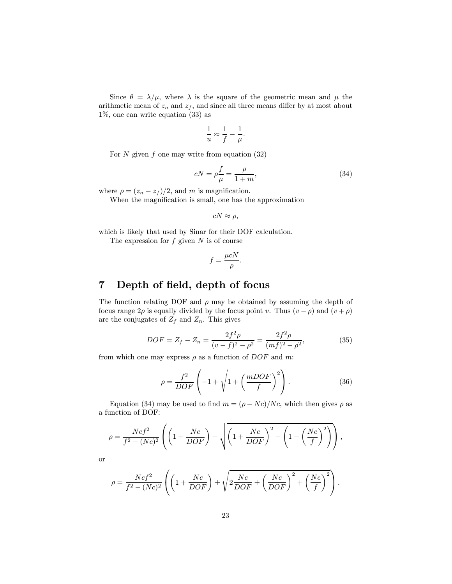Since  $\theta = \lambda/\mu$ , where  $\lambda$  is the square of the geometric mean and  $\mu$  the arithmetic mean of  $z_n$  and  $z_f$ , and since all three means differ by at most about 1%, one can write equation (33) as

$$
\frac{1}{u} \approx \frac{1}{f} - \frac{1}{\mu}.
$$

For  $N$  given  $f$  one may write from equation  $(32)$ 

$$
cN = \rho \frac{f}{\mu} = \frac{\rho}{1+m},\tag{34}
$$

where  $\rho = (z_n - z_f)/2$ , and m is magnification.

When the magnification is small, one has the approximation

$$
cN\approx\rho,
$$

which is likely that used by Sinar for their DOF calculation.

The expression for  $f$  given  $N$  is of course

$$
f = \frac{\mu cN}{\rho}.
$$

## 7 Depth of field, depth of focus

The function relating DOF and  $\rho$  may be obtained by assuming the depth of focus range  $2\rho$  is equally divided by the focus point v. Thus  $(v - \rho)$  and  $(v + \rho)$ are the conjugates of  $Z_f$  and  $Z_n$ . This gives

$$
DOF = Z_f - Z_n = \frac{2f^2\rho}{(v-f)^2 - \rho^2} = \frac{2f^2\rho}{(mf)^2 - \rho^2},
$$
\n(35)

from which one may express  $\rho$  as a function of  $DOF$  and m:

$$
\rho = \frac{f^2}{DOF} \left( -1 + \sqrt{1 + \left( \frac{mDOF}{f} \right)^2} \right). \tag{36}
$$

Equation (34) may be used to find  $m = (\rho - Nc)/Nc$ , which then gives  $\rho$  as a function of DOF:

$$
\rho = \frac{Ncf^2}{f^2 - (Nc)^2} \left( \left( 1 + \frac{Nc}{DOF} \right) + \sqrt{\left( 1 + \frac{Nc}{DOF} \right)^2 - \left( 1 - \left( \frac{Nc}{f} \right)^2 \right)} \right),
$$

or

$$
\rho = \frac{Ncf^2}{f^2 - (Nc)^2} \left( \left( 1 + \frac{Nc}{DOF} \right) + \sqrt{2\frac{Nc}{DOF} + \left( \frac{Nc}{DOF} \right)^2 + \left( \frac{Nc}{f} \right)^2} \right).
$$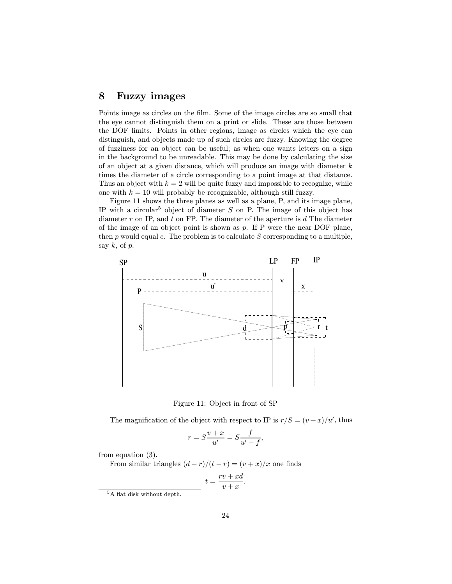## 8 Fuzzy images

Points image as circles on the film. Some of the image circles are so small that the eye cannot distinguish them on a print or slide. These are those between the DOF limits. Points in other regions, image as circles which the eye can distinguish, and objects made up of such circles are fuzzy. Knowing the degree of fuzziness for an object can be useful; as when one wants letters on a sign in the background to be unreadable. This may be done by calculating the size of an object at a given distance, which will produce an image with diameter  $k$ times the diameter of a circle corresponding to a point image at that distance. Thus an object with  $k = 2$  will be quite fuzzy and impossible to recognize, while one with  $k = 10$  will probably be recognizable, although still fuzzy.

Figure 11 shows the three planes as well as a plane, P, and its image plane, IP with a circular<sup>5</sup> object of diameter S on P. The image of this object has diameter  $r$  on IP, and  $t$  on FP. The diameter of the aperture is  $d$  The diameter of the image of an object point is shown as  $p$ . If P were the near DOF plane, then  $p$  would equal  $c$ . The problem is to calculate  $S$  corresponding to a multiple, say  $k$ , of  $p$ .



Figure 11: Object in front of SP

The magnification of the object with respect to IP is  $r/S = (v+x)/u'$ , thus

$$
r = S\frac{v+x}{u'} = S\frac{f}{u'-f},
$$

from equation (3).

From similar triangles  $(d - r)/(t - r) = (v + x)/x$  one finds

$$
t = \frac{rv + xd}{v + x}.
$$

<sup>5</sup>A flat disk without depth.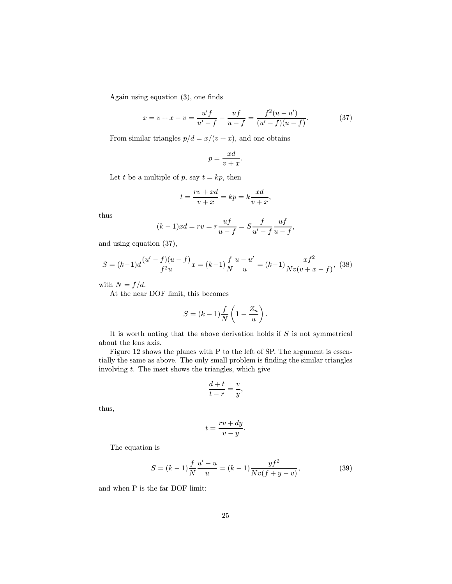Again using equation (3), one finds

$$
x = v + x - v = \frac{u'f}{u' - f} - \frac{uf}{u - f} = \frac{f^2(u - u')}{(u' - f)(u - f)}.
$$
 (37)

From similar triangles  $p/d = x/(v+x)$ , and one obtains

$$
p = \frac{xd}{v+x}.
$$

Let t be a multiple of p, say  $t = kp$ , then

$$
t = \frac{rv + xd}{v + x} = kp = k\frac{xd}{v + x},
$$

thus

$$
(k-1)xd = rv = r\frac{uf}{u-f} = S\frac{f}{u'-f}\frac{uf}{u-f},
$$

and using equation (37),

$$
S = (k-1)d \frac{(u'-f)(u-f)}{f^2u}x = (k-1)\frac{f}{N}\frac{u-u'}{u} = (k-1)\frac{xf^2}{Nv(v+x-f)},
$$
(38)

with  $N = f/d$ .

At the near DOF limit, this becomes

$$
S = (k-1)\frac{f}{N}\left(1 - \frac{Z_n}{u}\right).
$$

It is worth noting that the above derivation holds if  $S$  is not symmetrical about the lens axis.

Figure 12 shows the planes with P to the left of SP. The argument is essentially the same as above. The only small problem is finding the similar triangles involving  $t$ . The inset shows the triangles, which give

$$
\frac{d+t}{t-r} = \frac{v}{y},
$$

thus,

$$
t = \frac{rv + dy}{v - y}.
$$

The equation is

$$
S = (k-1)\frac{f}{N}\frac{u'-u}{u} = (k-1)\frac{yf^2}{Nv(f+y-v)},
$$
\n(39)

and when P is the far DOF limit: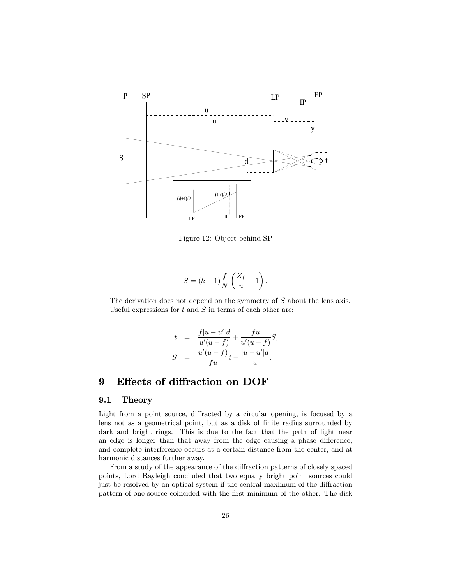

Figure 12: Object behind SP

$$
S = (k-1)\frac{f}{N}\left(\frac{Z_f}{u} - 1\right).
$$

The derivation does not depend on the symmetry of S about the lens axis. Useful expressions for  $t$  and  $S$  in terms of each other are:

$$
t = \frac{f|u-u'|d}{u'(u-f)} + \frac{fu}{u'(u-f)}S,
$$
  

$$
S = \frac{u'(u-f)}{fu}t - \frac{|u-u'|d}{u}.
$$

## 9 Effects of diffraction on DOF

#### 9.1 Theory

Light from a point source, diffracted by a circular opening, is focused by a lens not as a geometrical point, but as a disk of finite radius surrounded by dark and bright rings. This is due to the fact that the path of light near an edge is longer than that away from the edge causing a phase difference, and complete interference occurs at a certain distance from the center, and at harmonic distances further away.

From a study of the appearance of the diffraction patterns of closely spaced points, Lord Rayleigh concluded that two equally bright point sources could just be resolved by an optical system if the central maximum of the diffraction pattern of one source coincided with the first minimum of the other. The disk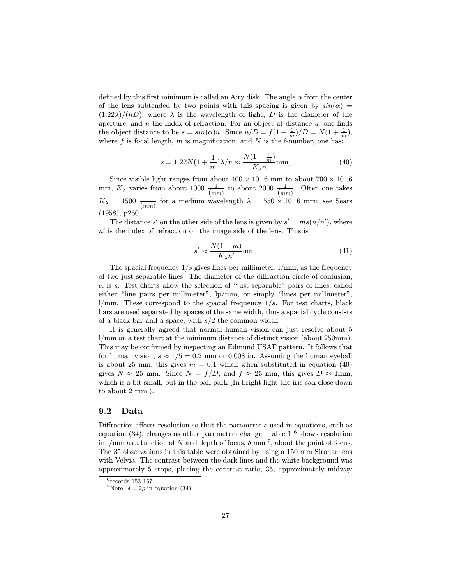defined by this first minimum is called an Airy disk. The angle  $\alpha$  from the center of the lens subtended by two points with this spacing is given by  $sin(\alpha)$  =  $(1.22\lambda)/(nD)$ , where  $\lambda$  is the wavelength of light, D is the diameter of the aperture, and  $n$  the index of refraction. For an object at distance  $u$ , one finds the object distance to be  $s = \sin(\alpha)u$ . Since  $u/D = f(1 + \frac{1}{m})/D = N(1 + \frac{1}{m}),$ where f is focal length, m is magnification, and N is the f-number, one has:

$$
s = 1.22N(1 + \frac{1}{m})\lambda/n \approx \frac{N(1 + \frac{1}{m})}{K_{\lambda}n} \text{mm},\tag{40}
$$

Since visible light ranges from about  $400 \times 10^-6$  mm to about  $700 \times 10^-6$ mm,  $K_{\lambda}$  varies from about 1000  $\frac{1}{(mm)}$  to about 2000  $\frac{1}{(mm)}$ . Often one takes  $K_{\lambda} = 1500 \frac{1}{(mm)}$  for a medium wavelength  $\lambda = 550 \times 10^{-6}$  mm: see Sears (1958), p260.

The distance s' on the other side of the lens is given by  $s' = ms(n/n')$ , where  $n'$  is the index of refraction on the image side of the lens. This is

$$
s' \approx \frac{N(1+m)}{K_{\lambda}n'} \text{mm},\tag{41}
$$

The spacial frequency  $1/s$  gives lines per millimeter,  $1/mm$ , as the frequency of two just separable lines. The diameter of the diffraction circle of confusion, c, is s. Test charts allow the selection of "just separable" pairs of lines, called either "line pairs per millimeter", lp/mm, or simply "lines per millimeter",  $1/mm$ . These correspond to the spacial frequency  $1/s$ . For test charts, black bars are used separated by spaces of the same width, thus a spacial cycle consists of a black bar and a space, with  $s/2$  the common width.

It is generally agreed that normal human vision can just resolve about 5 l/mm on a test chart at the minimum distance of distinct vision (about 250mm). This may be confirmed by inspecting an Edmund USAF pattern. It follows that for human vision,  $s \approx 1/5 = 0.2$  mm or 0.008 in. Assuming the human eyeball is about 25 mm, this gives  $m = 0.1$  which when substituted in equation (40) gives  $N \approx 25$  mm. Since  $N = f/D$ , and  $f \approx 25$  mm, this gives  $D \approx 1$ mm, which is a bit small, but in the ball park (In bright light the iris can close down to about 2 mm.).

## 9.2 Data

Diffraction affects resolution so that the parameter  $c$  used in equations, such as equation (34), changes as other parameters change. Table  $1^6$  shows resolution in  $1/\text{mm}$  as a function of N and depth of focus,  $\delta$  mm<sup>7</sup>, about the point of focus. The 35 observations in this table were obtained by using a 150 mm Sironar lens with Velvia. The contrast between the dark lines and the white background was approximately 5 stops, placing the contrast ratio, 35, approximately midway

 $6$ records 153-157

<sup>&</sup>lt;sup>7</sup>Note:  $\delta = 2\rho$  in equation (34)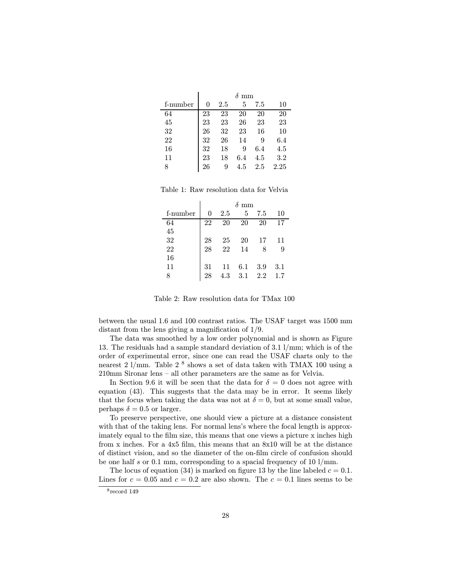|          | mm |     |     |     |      |  |
|----------|----|-----|-----|-----|------|--|
| f-number | 0  | 2.5 | 5   | 7.5 | 10   |  |
| 64       | 23 | 23  | 20  | 20  | 20   |  |
| 45       | 23 | 23  | 26  | 23  | 23   |  |
| 32       | 26 | 32  | 23  | 16  | 10   |  |
| 22       | 32 | 26  | 14  | 9   | 6.4  |  |
| 16       | 32 | 18  | 9   | 6.4 | 4.5  |  |
| 11       | 23 | 18  | 6.4 | 4.5 | 3.2  |  |
| 8        | 26 | 9   | 4.5 | 2.5 | 2.25 |  |

Table 1: Raw resolution data for Velvia

|          | mm |                 |     |     |     |  |  |
|----------|----|-----------------|-----|-----|-----|--|--|
| f-number | 0  | 2.5             | 5   | 7.5 | 10  |  |  |
| 64       | 22 | 20              | 20  | 20  | 17  |  |  |
| 45       |    |                 |     |     |     |  |  |
| 32       | 28 | $\frac{25}{22}$ | 20  | 17  | 11  |  |  |
| 22       | 28 |                 | 14  | 8   | 9   |  |  |
| 16       |    |                 |     |     |     |  |  |
| 11       | 31 | 11              | 6.1 | 3.9 | 3.1 |  |  |
| 8        | 28 | 4.3             | 3.1 | 2.2 | 1.7 |  |  |

Table 2: Raw resolution data for TMax 100

between the usual 1.6 and 100 contrast ratios. The USAF target was 1500 mm distant from the lens giving a magnification of 1/9.

The data was smoothed by a low order polynomial and is shown as Figure 13. The residuals had a sample standard deviation of 3.1 l/mm; which is of the order of experimental error, since one can read the USAF charts only to the nearest 2 l/mm. Table 2<sup>8</sup> shows a set of data taken with TMAX 100 using a 210mm Sironar lens — all other parameters are the same as for Velvia.

In Section 9.6 it will be seen that the data for  $\delta = 0$  does not agree with equation (43). This suggests that the data may be in error. It seems likely that the focus when taking the data was not at  $\delta = 0$ , but at some small value, perhaps  $\delta = 0.5$  or larger.

To preserve perspective, one should view a picture at a distance consistent with that of the taking lens. For normal lens's where the focal length is approximately equal to the film size, this means that one views a picture x inches high from x inches. For a 4x5 film, this means that an 8x10 will be at the distance of distinct vision, and so the diameter of the on-film circle of confusion should be one half  $s$  or 0.1 mm, corresponding to a spacial frequency of 10 l/mm.

The locus of equation (34) is marked on figure 13 by the line labeled  $c = 0.1$ . Lines for  $c = 0.05$  and  $c = 0.2$  are also shown. The  $c = 0.1$  lines seems to be

<sup>8</sup>record 149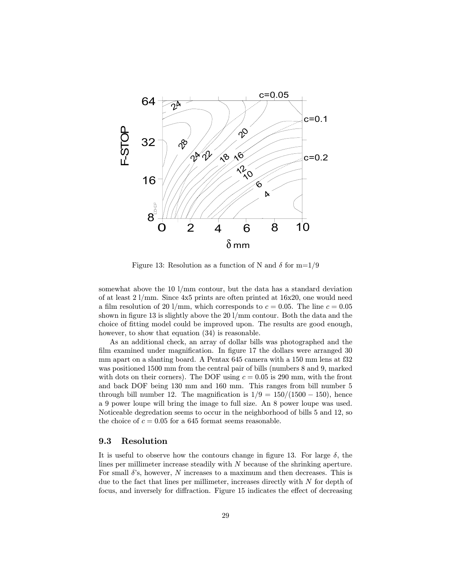

Figure 13: Resolution as a function of N and  $\delta$  for m=1/9

somewhat above the 10 l/mm contour, but the data has a standard deviation of at least 2 l/mm. Since 4x5 prints are often printed at 16x20, one would need a film resolution of 20 l/mm, which corresponds to  $c = 0.05$ . The line  $c = 0.05$ shown in figure 13 is slightly above the 20 l/mm contour. Both the data and the choice of fitting model could be improved upon. The results are good enough, however, to show that equation (34) is reasonable.

As an additional check, an array of dollar bills was photographed and the film examined under magnification. In figure 17 the dollars were arranged 30 mm apart on a slanting board. A Pentax 645 camera with a 150 mm lens at f32 was positioned 1500 mm from the central pair of bills (numbers 8 and 9, marked with dots on their corners). The DOF using  $c = 0.05$  is 290 mm, with the front and back DOF being 130 mm and 160 mm. This ranges from bill number 5 through bill number 12. The magnification is  $1/9 = 150/(1500 - 150)$ , hence a 9 power loupe will bring the image to full size. An 8 power loupe was used. Noticeable degredation seems to occur in the neighborhood of bills 5 and 12, so the choice of  $c = 0.05$  for a 645 format seems reasonable.

#### 9.3 Resolution

It is useful to observe how the contours change in figure 13. For large  $\delta$ , the lines per millimeter increase steadily with N because of the shrinking aperture. For small  $\delta$ 's, however, N increases to a maximum and then decreases. This is due to the fact that lines per millimeter, increases directly with  $N$  for depth of focus, and inversely for diffraction. Figure 15 indicates the effect of decreasing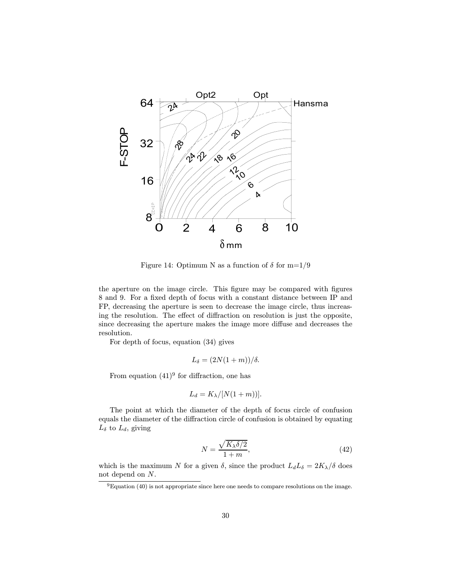

Figure 14: Optimum N as a function of  $\delta$  for m=1/9

the aperture on the image circle. This figure may be compared with figures 8 and 9. For a fixed depth of focus with a constant distance between IP and FP, decreasing the aperture is seen to decrease the image circle, thus increasing the resolution. The effect of diffraction on resolution is just the opposite, since decreasing the aperture makes the image more diffuse and decreases the resolution.

For depth of focus, equation (34) gives

 $L_{\delta} = (2N(1+m))/\delta.$ 

From equation  $(41)^9$  for diffraction, one has

$$
L_d = K_{\lambda}/[N(1+m))].
$$

The point at which the diameter of the depth of focus circle of confusion equals the diameter of the diffraction circle of confusion is obtained by equating  $L_{\delta}$  to  $L_{d}$ , giving

$$
N = \frac{\sqrt{K_{\lambda}\delta/2}}{1+m},\tag{42}
$$

which is the maximum N for a given  $\delta$ , since the product  $L_dL_\delta = 2K_\lambda/\delta$  does not depend on N.

<sup>9</sup>Equation (40) is not appropriate since here one needs to compare resolutions on the image.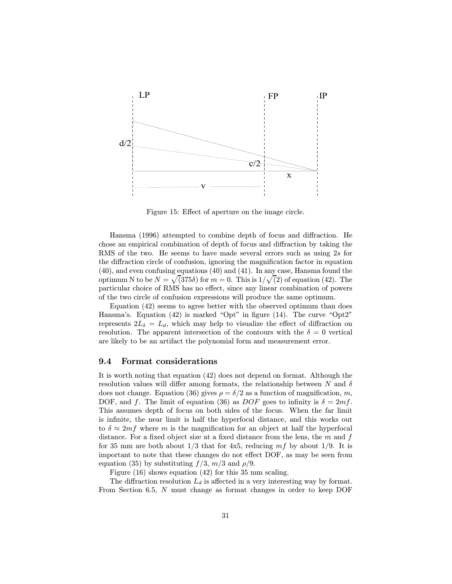

Figure 15: Effect of aperture on the image circle.

Hansma (1996) attempted to combine depth of focus and diffraction. He chose an empirical combination of depth of focus and diffraction by taking the RMS of the two. He seems to have made several errors such as using 2s for the diffraction circle of confusion, ignoring the magnification factor in equation (40), and even confusing equations (40) and (41). In any case, Hansma found the optimum N to be  $N = \sqrt{(375\delta)}$  for  $m = 0$ . This is  $1/\sqrt{(2)}$  of equation (42). The particular choice of RMS has no effect, since any linear combination of powers of the two circle of confusion expressions will produce the same optimum.

Equation (42) seems to agree better with the observed optimum than does Hansma's. Equation (42) is marked "Opt" in figure (14). The curve "Opt2" represents  $2L_{\delta} = L_d$ , which may help to visualize the effect of diffraction on resolution. The apparent intersection of the contours with the  $\delta = 0$  vertical are likely to be an artifact the polynomial form and measurement error.

#### 9.4 Format considerations

It is worth noting that equation (42) does not depend on format. Although the resolution values will differ among formats, the relationship between N and  $\delta$ does not change. Equation (36) gives  $\rho = \delta/2$  as a function of magnification, m, DOF, and f. The limit of equation (36) as DOF goes to infinity is  $\delta = 2mf$ . This assumes depth of focus on both sides of the focus. When the far limit is infinite, the near limit is half the hyperfocal distance, and this works out to  $\delta \approx 2mf$  where m is the magnification for an object at half the hyperfocal distance. For a fixed object size at a fixed distance from the lens, the  $m$  and  $f$ for 35 mm are both about  $1/3$  that for 4x5, reducing  $mf$  by about  $1/9$ . It is important to note that these changes do not effect DOF, as may be seen from equation (35) by substituting  $f/3$ ,  $m/3$  and  $\rho/9$ .

Figure (16) shows equation (42) for this 35 mm scaling.

The diffraction resolution  $L_d$  is affected in a very interesting way by format. From Section 6.5, N must change as format changes in order to keep DOF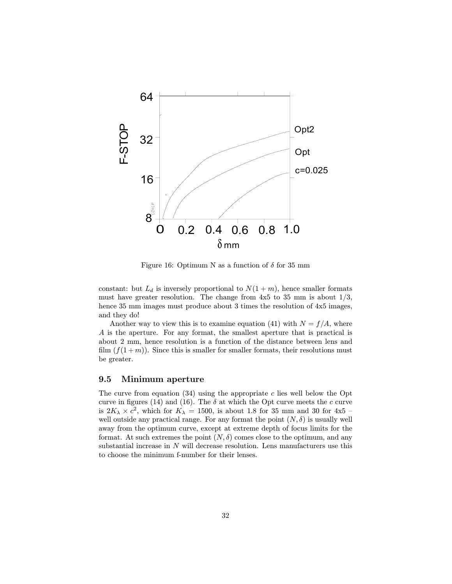

Figure 16: Optimum N as a function of  $\delta$  for 35 mm

constant: but  $L_d$  is inversely proportional to  $N(1 + m)$ , hence smaller formats must have greater resolution. The change from  $4x5$  to 35 mm is about  $1/3$ , hence 35 mm images must produce about 3 times the resolution of  $4x5$  images, and they do!

Another way to view this is to examine equation (41) with  $N = f/A$ , where A is the aperture. For any format, the smallest aperture that is practical is about 2 mm, hence resolution is a function of the distance between lens and film  $(f(1+m))$ . Since this is smaller for smaller formats, their resolutions must be greater.

## 9.5 Minimum aperture

The curve from equation  $(34)$  using the appropriate c lies well below the Opt curve in figures (14) and (16). The  $\delta$  at which the Opt curve meets the c curve is  $2K_{\lambda} \times c^2$ , which for  $K_{\lambda} = 1500$ , is about 1.8 for 35 mm and 30 for 4x5 – well outside any practical range. For any format the point  $(N, \delta)$  is usually well away from the optimum curve, except at extreme depth of focus limits for the format. At such extremes the point  $(N, \delta)$  comes close to the optimum, and any substantial increase in  $N$  will decrease resolution. Lens manufacturers use this to choose the minimum f-number for their lenses.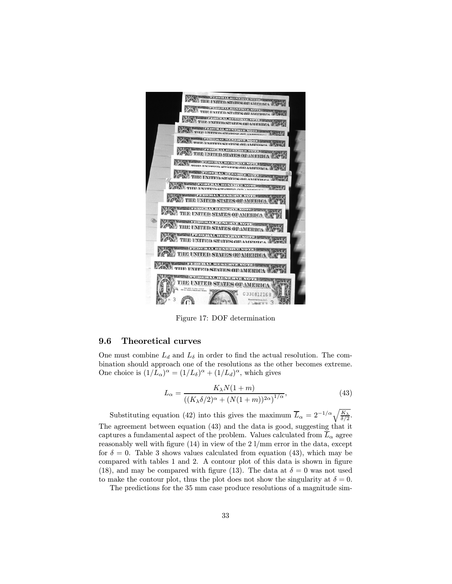

Figure 17: DOF determination

### 9.6 Theoretical curves

One must combine  $L_d$  and  $L_\delta$  in order to find the actual resolution. The combination should approach one of the resolutions as the other becomes extreme. One choice is  $(1/L_{\alpha})^{\alpha} = (1/L_{\delta})^{\alpha} + (1/L_d)^{\alpha}$ , which gives

$$
L_{\alpha} = \frac{K_{\lambda}N(1+m)}{\left((K_{\lambda}\delta/2)^{\alpha} + (N(1+m))^{2\alpha}\right)^{1/\alpha}},
$$
\n(43)

Substituting equation (42) into this gives the maximum  $\overline{L}_{\alpha} = 2^{-1/\alpha} \sqrt{\frac{K_{\lambda}}{\delta/2}}$ . The agreement between equation (43) and the data is good, suggesting that it captures a fundamental aspect of the problem. Values calculated from  $\overline{L}_{\alpha}$  agree reasonably well with figure (14) in view of the 2 l/mm error in the data, except for  $\delta = 0$ . Table 3 shows values calculated from equation (43), which may be compared with tables 1 and 2. A contour plot of this data is shown in figure (18), and may be compared with figure (13). The data at  $\delta = 0$  was not used to make the contour plot, thus the plot does not show the singularity at  $\delta = 0$ .

The predictions for the 35 mm case produce resolutions of a magnitude sim-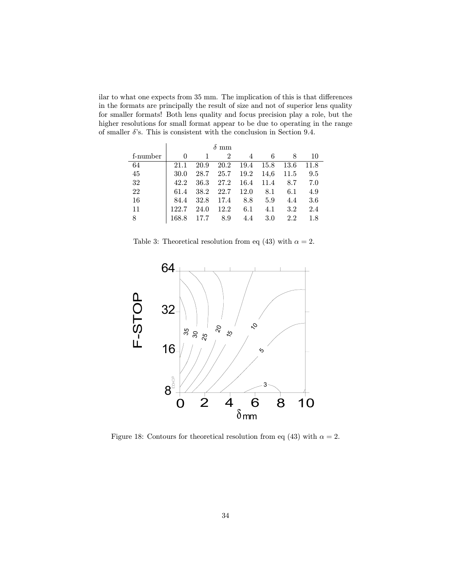ilar to what one expects from 35 mm. The implication of this is that differences in the formats are principally the result of size and not of superior lens quality for smaller formats! Both lens quality and focus precision play a role, but the higher resolutions for small format appear to be due to operating in the range of smaller  $\delta$ 's. This is consistent with the conclusion in Section 9.4.

|          |       | mm   |                |      |      |         |      |  |  |
|----------|-------|------|----------------|------|------|---------|------|--|--|
| f-number | 0     |      | $\mathfrak{D}$ |      | 6    | 8       | 10   |  |  |
| 64       | 21.1  | 20.9 | 20.2           | 19.4 | 15.8 | 13.6    | 11.8 |  |  |
| 45       | 30.0  | 28.7 | 25.7           | 19.2 | 14,6 | 11.5    | 9.5  |  |  |
| 32       | 42.2  | 36.3 | 27.2           | 16.4 | 11.4 | 8.7     | 7.0  |  |  |
| 22       | 61.4  | 38.2 | 22.7           | 12.0 | 8.1  | 6.1     | 4.9  |  |  |
| 16       | 84.4  | 32.8 | 17.4           | 8.8  | 5.9  | 4.4     | 3.6  |  |  |
| 11       | 122.7 | 24.0 | 12.2           | 6.1  | 4.1  | $3.2\,$ | 2.4  |  |  |
| 8        | 168.8 | 17.7 | 8.9            | 4.4  | 3.0  | 2.2     | 1.8  |  |  |

Table 3: Theoretical resolution from eq (43) with  $\alpha = 2$ .



Figure 18: Contours for theoretical resolution from eq (43) with  $\alpha = 2$ .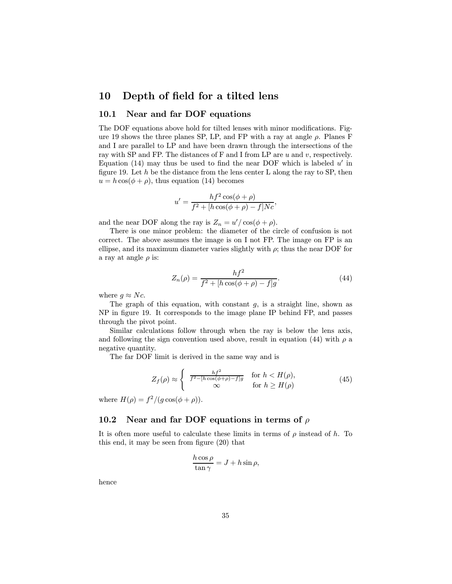## 10 Depth of field for a tilted lens

## 10.1 Near and far DOF equations

The DOF equations above hold for tilted lenses with minor modifications. Figure 19 shows the three planes SP, LP, and FP with a ray at angle  $\rho$ . Planes F and I are parallel to LP and have been drawn through the intersections of the ray with SP and FP. The distances of F and I from LP are  $u$  and  $v$ , respectively. Equation (14) may thus be used to find the near DOF which is labeled  $u'$  in figure 19. Let h be the distance from the lens center L along the ray to SP, then  $u = h \cos(\phi + \rho)$ , thus equation (14) becomes

$$
u' = \frac{hf^2\cos(\phi + \rho)}{f^2 + [h\cos(\phi + \rho) - f]Nc},
$$

and the near DOF along the ray is  $Z_n = u'/\cos(\phi + \rho)$ .

There is one minor problem: the diameter of the circle of confusion is not correct. The above assumes the image is on I not FP. The image on FP is an ellipse, and its maximum diameter varies slightly with  $\rho$ ; thus the near DOF for a ray at angle  $\rho$  is:

$$
Z_n(\rho) = \frac{hf^2}{f^2 + [h\cos(\phi + \rho) - f]g}.
$$
 (44)

where  $g \approx Nc$ .

The graph of this equation, with constant  $g$ , is a straight line, shown as NP in figure 19. It corresponds to the image plane IP behind FP, and passes through the pivot point.

Similar calculations follow through when the ray is below the lens axis, and following the sign convention used above, result in equation (44) with  $\rho$  a negative quantity.

The far DOF limit is derived in the same way and is

$$
Z_f(\rho) \approx \begin{cases} \frac{hf^2}{f^2 - [h\cos(\phi + \rho) - f]g} & \text{for } h < H(\rho), \\ \infty & \text{for } h \ge H(\rho) \end{cases}
$$
 (45)

where  $H(\rho) = f^2/(g \cos(\phi + \rho)).$ 

## 10.2 Near and far DOF equations in terms of  $\rho$

It is often more useful to calculate these limits in terms of  $\rho$  instead of h. To this end, it may be seen from figure (20) that

$$
\frac{h\cos\rho}{\tan\gamma} = J + h\sin\rho,
$$

hence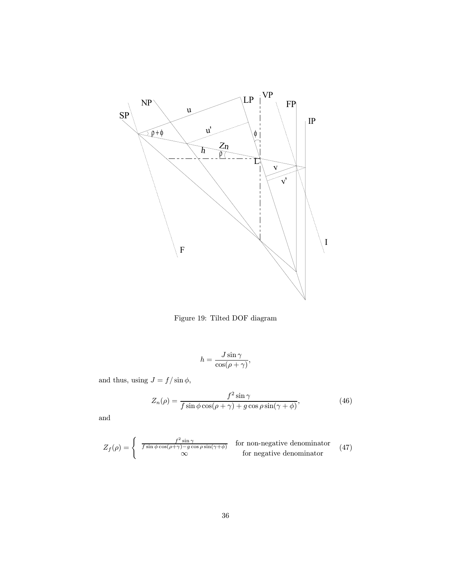

Figure 19: Tilted DOF diagram

$$
h = \frac{J\sin\gamma}{\cos(\rho + \gamma)},
$$

and thus, using  $J=f/\sin\phi,$ 

$$
Z_n(\rho) = \frac{f^2 \sin \gamma}{f \sin \phi \cos(\rho + \gamma) + g \cos \rho \sin(\gamma + \phi)},
$$
(46)

and

$$
Z_f(\rho) = \begin{cases} \frac{f^2 \sin \gamma}{f \sin \phi \cos(\rho + \gamma) - g \cos \rho \sin(\gamma + \phi)} & \text{for non-negative denominator} \\ \infty & \text{for negative denominator} \end{cases}
$$
(47)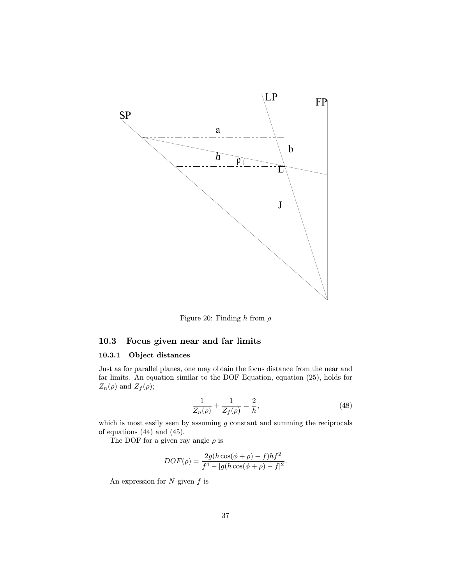

Figure 20: Finding  $h$  from  $\rho$ 

## 10.3 Focus given near and far limits

## 10.3.1 Object distances

Just as for parallel planes, one may obtain the focus distance from the near and far limits. An equation similar to the DOF Equation, equation (25), holds for  $Z_n(\rho)$  and  $Z_f(\rho)$ ;

$$
\frac{1}{Z_n(\rho)} + \frac{1}{Z_f(\rho)} = \frac{2}{h},
$$
\n(48)

which is most easily seen by assuming  $g$  constant and summing the reciprocals of equations (44) and (45).

The DOF for a given ray angle  $\rho$  is

$$
DOF(\rho) = \frac{2g(h\cos(\phi + \rho) - f)hf^2}{f^4 - [g(h\cos(\phi + \rho) - f]^2}.
$$

An expression for  $N$  given  $f$  is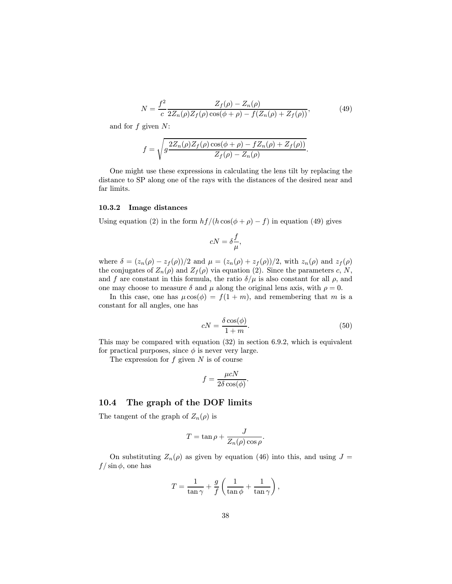$$
N = \frac{f^2}{c} \frac{Z_f(\rho) - Z_n(\rho)}{2Z_n(\rho)Z_f(\rho)\cos(\phi + \rho) - f(Z_n(\rho) + Z_f(\rho))},
$$
(49)

and for  $f$  given  $N$ :

$$
f = \sqrt{g \frac{2Z_n(\rho)Z_f(\rho)\cos(\phi + \rho) - fZ_n(\rho) + Z_f(\rho))}{Z_f(\rho) - Z_n(\rho)}}.
$$

One might use these expressions in calculating the lens tilt by replacing the distance to SP along one of the rays with the distances of the desired near and far limits.

#### 10.3.2 Image distances

Using equation (2) in the form  $hf/(h\cos(\phi+\rho)-f)$  in equation (49) gives

$$
cN = \delta \frac{f}{\mu},
$$

where  $\delta = (z_n(\rho) - z_f(\rho))/2$  and  $\mu = (z_n(\rho) + z_f(\rho))/2$ , with  $z_n(\rho)$  and  $z_f(\rho)$ the conjugates of  $Z_n(\rho)$  and  $Z_f(\rho)$  via equation (2). Since the parameters c, N, and f are constant in this formula, the ratio  $\delta/\mu$  is also constant for all  $\rho$ , and one may choose to measure  $\delta$  and  $\mu$  along the original lens axis, with  $\rho = 0$ .

In this case, one has  $\mu \cos(\phi) = f(1 + m)$ , and remembering that m is a constant for all angles, one has

$$
cN = \frac{\delta \cos(\phi)}{1+m}.\tag{50}
$$

This may be compared with equation (32) in section 6.9.2, which is equivalent for practical purposes, since  $\phi$  is never very large.

The expression for  $f$  given  $N$  is of course

$$
f = \frac{\mu cN}{2\delta \cos(\phi)}.
$$

## 10.4 The graph of the DOF limits

The tangent of the graph of  $Z_n(\rho)$  is

$$
T = \tan \rho + \frac{J}{Z_n(\rho) \cos \rho}.
$$

On substituting  $Z_n(\rho)$  as given by equation (46) into this, and using  $J =$  $f/\sin\phi$ , one has

$$
T = \frac{1}{\tan \gamma} + \frac{g}{f} \left( \frac{1}{\tan \phi} + \frac{1}{\tan \gamma} \right),
$$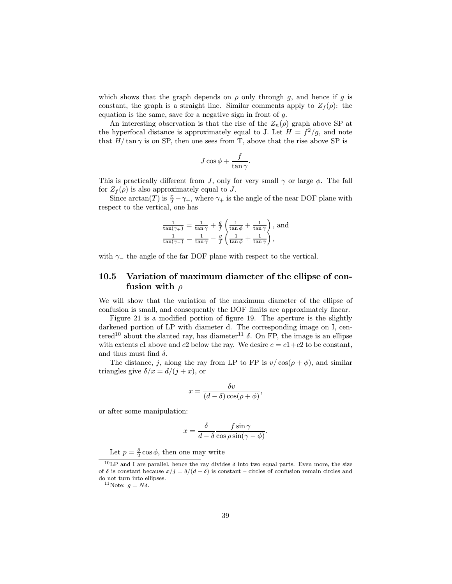which shows that the graph depends on  $\rho$  only through g, and hence if g is constant, the graph is a straight line. Similar comments apply to  $Z_f(\rho)$ : the equation is the same, save for a negative sign in front of  $g$ .

An interesting observation is that the rise of the  $Z_n(\rho)$  graph above SP at the hyperfocal distance is approximately equal to J. Let  $H = f^2/g$ , and note that  $H/\tan \gamma$  is on SP, then one sees from T, above that the rise above SP is

$$
J\cos\phi + \frac{f}{\tan\gamma}.
$$

This is practically different from J, only for very small  $\gamma$  or large  $\phi$ . The fall for  $Z_f(\rho)$  is also approximately equal to J.

Since  $\arctan(T)$  is  $\frac{\pi}{2} - \gamma_+$ , where  $\gamma_+$  is the angle of the near DOF plane with respect to the vertical, one has

$$
\frac{1}{\tan(\gamma_+)} = \frac{1}{\tan \gamma} + \frac{g}{f} \left( \frac{1}{\tan \phi} + \frac{1}{\tan \gamma} \right), \text{ and}
$$

$$
\frac{1}{\tan(\gamma_-)} = \frac{1}{\tan \gamma} - \frac{g}{f} \left( \frac{1}{\tan \phi} + \frac{1}{\tan \gamma} \right),
$$

with  $\gamma_-\$  the angle of the far DOF plane with respect to the vertical.

## 10.5 Variation of maximum diameter of the ellipse of confusion with  $\rho$

We will show that the variation of the maximum diameter of the ellipse of confusion is small, and consequently the DOF limits are approximately linear.

Figure 21 is a modified portion of figure 19. The aperture is the slightly darkened portion of LP with diameter d. The corresponding image on I, centered<sup>10</sup> about the slanted ray, has diameter<sup>11</sup>  $\delta$ . On FP, the image is an ellipse with extents c1 above and c2 below the ray. We desire  $c = c_1 + c_2$  to be constant, and thus must find  $\delta$ .

The distance, j, along the ray from LP to FP is  $v/\cos(\rho + \phi)$ , and similar triangles give  $\delta/x = d/(j + x)$ , or

$$
x = \frac{\delta v}{(d-\delta)\cos(\rho+\phi)},
$$

or after some manipulation:

$$
x = \frac{\delta}{d - \delta} \frac{f \sin \gamma}{\cos \rho \sin(\gamma - \phi)}.
$$

Let  $p = \frac{\delta}{2} \cos \phi$ , then one may write

<sup>&</sup>lt;sup>10</sup>LP and I are parallel, hence the ray divides  $\delta$  into two equal parts. Even more, the size of  $\delta$  is constant because  $x/j = \delta/(d - \delta)$  is constant – circles of confusion remain circles and do not turn into ellipses.

<sup>&</sup>lt;sup>11</sup>Note:  $q = N\delta$ .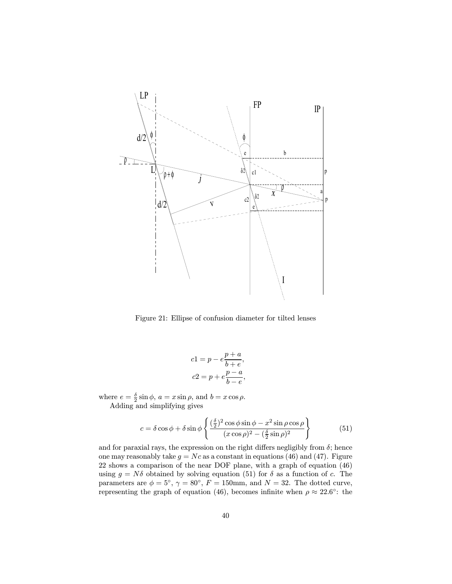

Figure 21: Ellipse of confusion diameter for tilted lenses

$$
c1 = p - e \frac{p+a}{b+e},
$$
  

$$
c2 = p + e \frac{p-a}{b-e},
$$

where  $e = \frac{\delta}{2} \sin \phi$ ,  $a = x \sin \rho$ , and  $b = x \cos \rho$ . Adding and simplifying gives

$$
c = \delta \cos \phi + \delta \sin \phi \left\{ \frac{(\frac{\delta}{2})^2 \cos \phi \sin \phi - x^2 \sin \rho \cos \rho}{(x \cos \rho)^2 - (\frac{\delta}{2} \sin \rho)^2} \right\}
$$
(51)

and for paraxial rays, the expression on the right differs negligibly from  $\delta$ ; hence one may reasonably take  $g = Nc$  as a constant in equations (46) and (47). Figure 22 shows a comparison of the near DOF plane, with a graph of equation (46) using  $g = N\delta$  obtained by solving equation (51) for  $\delta$  as a function of c. The parameters are  $\phi = 5^{\circ}$ ,  $\gamma = 80^{\circ}$ ,  $F = 150$ mm, and  $N = 32$ . The dotted curve, representing the graph of equation (46), becomes infinite when  $\rho \approx 22.6°$ : the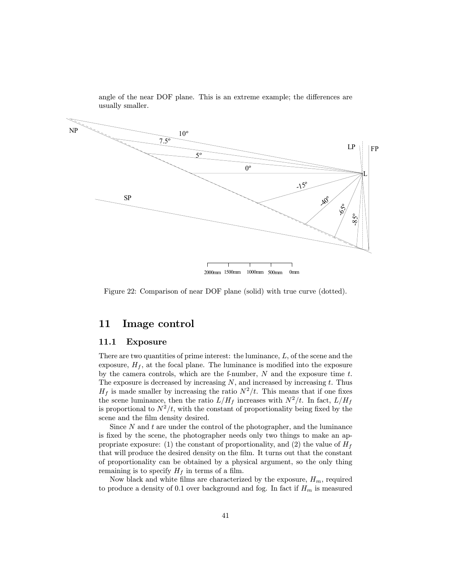

angle of the near DOF plane. This is an extreme example; the differences are usually smaller.

Figure 22: Comparison of near DOF plane (solid) with true curve (dotted).

## 11 Image control

#### 11.1 Exposure

There are two quantities of prime interest: the luminance,  $L$ , of the scene and the exposure,  $H_f$ , at the focal plane. The luminance is modified into the exposure by the camera controls, which are the f-number,  $N$  and the exposure time  $t$ . The exposure is decreased by increasing  $N$ , and increased by increasing  $t$ . Thus  $H_f$  is made smaller by increasing the ratio  $N^2/t$ . This means that if one fixes the scene luminance, then the ratio  $L/H_f$  increases with  $N^2/t$ . In fact,  $L/H_f$ is proportional to  $N^2/t$ , with the constant of proportionality being fixed by the scene and the film density desired.

Since  $N$  and  $t$  are under the control of the photographer, and the luminance is fixed by the scene, the photographer needs only two things to make an appropriate exposure: (1) the constant of proportionality, and (2) the value of  $H_f$ that will produce the desired density on the film. It turns out that the constant of proportionality can be obtained by a physical argument, so the only thing remaining is to specify  $H_f$  in terms of a film.

Now black and white films are characterized by the exposure,  $H_m$ , required to produce a density of 0.1 over background and fog. In fact if  $H_m$  is measured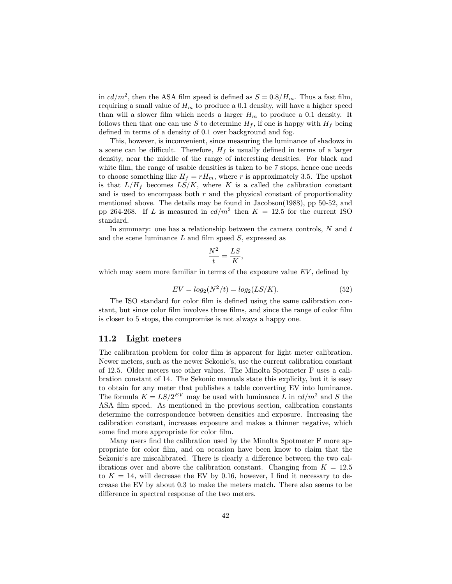in  $cd/m^2$ , then the ASA film speed is defined as  $S = 0.8/H_m$ . Thus a fast film, requiring a small value of  $H_m$  to produce a 0.1 density, will have a higher speed than will a slower film which needs a larger  $H_m$  to produce a 0.1 density. It follows then that one can use S to determine  $H_f$ , if one is happy with  $H_f$  being defined in terms of a density of 0.1 over background and fog.

This, however, is inconvenient, since measuring the luminance of shadows in a scene can be difficult. Therefore,  $H_f$  is usually defined in terms of a larger density, near the middle of the range of interesting densities. For black and white film, the range of usable densities is taken to be 7 stops, hence one needs to choose something like  $H_f = rH_m$ , where r is approximately 3.5. The upshot is that  $L/H_f$  becomes  $LS/K$ , where K is a called the calibration constant and is used to encompass both  $r$  and the physical constant of proportionality mentioned above. The details may be found in Jacobson(1988), pp 50-52, and pp 264-268. If L is measured in  $cd/m^2$  then  $K = 12.5$  for the current ISO standard.

In summary: one has a relationship between the camera controls,  $N$  and  $t$ and the scene luminance  $L$  and film speed  $S$ , expressed as

$$
\frac{N^2}{t} = \frac{LS}{K},
$$

which may seem more familiar in terms of the exposure value  $EV$ , defined by

$$
EV = log_2(N^2/t) = log_2(LS/K).
$$
 (52)

The ISO standard for color film is defined using the same calibration constant, but since color film involves three films, and since the range of color film is closer to 5 stops, the compromise is not always a happy one.

#### 11.2 Light meters

The calibration problem for color film is apparent for light meter calibration. Newer meters, such as the newer Sekonic's, use the current calibration constant of 12.5. Older meters use other values. The Minolta Spotmeter F uses a calibration constant of 14. The Sekonic manuals state this explicity, but it is easy to obtain for any meter that publishes a table converting EV into luminance. The formula  $K = LS/2^{EV}$  may be used with luminance  $\overline{L}$  in  $cd/m^2$  and  $S$  the ASA film speed. As mentioned in the previous section, calibration constants determine the correspondence between densities and exposure. Increasing the calibration constant, increases exposure and makes a thinner negative, which some find more appropriate for color film.

Many users find the calibration used by the Minolta Spotmeter F more appropriate for color film, and on occasion have been know to claim that the Sekonic's are miscalibrated. There is clearly a difference between the two calibrations over and above the calibration constant. Changing from  $K = 12.5$ to  $K = 14$ , will decrease the EV by 0.16, however, I find it necessary to decrease the EV by about 0.3 to make the meters match. There also seems to be difference in spectral response of the two meters.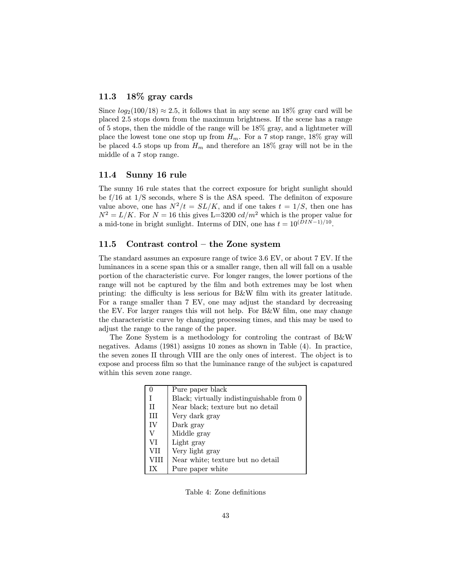## 11.3 18% gray cards

Since  $log_2(100/18) \approx 2.5$ , it follows that in any scene an 18% gray card will be placed 2.5 stops down from the maximum brightness. If the scene has a range of 5 stops, then the middle of the range will be 18% gray, and a lightmeter will place the lowest tone one stop up from  $H_m$ . For a 7 stop range, 18% gray will be placed 4.5 stops up from  $H_m$  and therefore an 18% gray will not be in the middle of a 7 stop range.

### 11.4 Sunny 16 rule

The sunny 16 rule states that the correct exposure for bright sunlight should be f/16 at 1/S seconds, where S is the ASA speed. The definiton of exposure value above, one has  $N^2/t = SL/K$ , and if one takes  $t = 1/S$ , then one has  $N^2 = L/K$ . For  $N = 16$  this gives L=3200  $cd/m^2$  which is the proper value for a mid-tone in bright sunlight. Interms of DIN, one has  $t = 10^{(DIN-1)/10}$ .

## 11.5 Contrast control — the Zone system

The standard assumes an exposure range of twice 3.6 EV, or about 7 EV. If the luminances in a scene span this or a smaller range, then all will fall on a usable portion of the characteristic curve. For longer ranges, the lower portions of the range will not be captured by the film and both extremes may be lost when printing: the difficulty is less serious for B&W film with its greater latitude. For a range smaller than 7 EV, one may adjust the standard by decreasing the EV. For larger ranges this will not help. For B&W film, one may change the characteristic curve by changing processing times, and this may be used to adjust the range to the range of the paper.

The Zone System is a methodology for controling the contrast of B&W negatives. Adams (1981) assigns 10 zones as shown in Table (4). In practice, the seven zones II through VIII are the only ones of interest. The object is to expose and process film so that the luminance range of the subject is capatured within this seven zone range.

|      | Pure paper black                          |
|------|-------------------------------------------|
|      | Black; virtually indistinguishable from 0 |
| Π    | Near black; texture but no detail         |
| III  | Very dark gray                            |
| IV   | Dark gray                                 |
|      | Middle gray                               |
| VI   | Light gray                                |
| VII  | Very light gray                           |
| VIII | Near white; texture but no detail         |
|      | Pure paper white                          |

Table 4: Zone definitions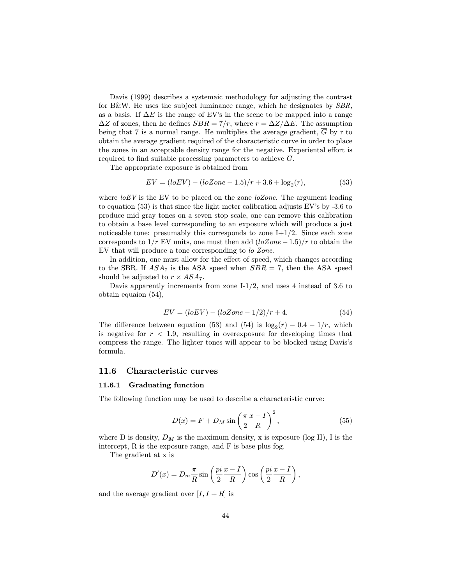Davis (1999) describes a systemaic methodology for adjusting the contrast for B&W. He uses the subject luminance range, which he designates by SBR, as a basis. If  $\Delta E$  is the range of EV's in the scene to be mapped into a range  $\Delta Z$  of zones, then he defines  $SBR = 7/r$ , where  $r = \Delta Z/\Delta E$ . The assumption being that  $7$  is a normal range. He multiplies the average gradient,  $G$  by r to obtain the average gradient required of the characteristic curve in order to place the zones in an acceptable density range for the negative. Experiental effort is required to find suitable processing parameters to achieve  $\overline{G}$ .

The appropriate exposure is obtained from

$$
EV = (loEV) - (loZone - 1.5)/r + 3.6 + \log_2(r),
$$
\n(53)

where  $loEV$  is the EV to be placed on the zone  $loZone$ . The argument leading to equation (53) is that since the light meter calibration adjusts EV's by -3.6 to produce mid gray tones on a seven stop scale, one can remove this calibration to obtain a base level corresponding to an exposure which will produce a just noticeable tone: presumably this corresponds to zone  $I+1/2$ . Since each zone corresponds to  $1/r$  EV units, one must then add  $(loZone-1.5)/r$  to obtain the EV that will produce a tone corresponding to lo Zone.

In addition, one must allow for the effect of speed, which changes according to the SBR. If  $ASA_7$  is the ASA speed when  $SBR = 7$ , then the ASA speed should be adjusted to  $r \times ASA_7$ .

Davis apparently increments from zone  $I-1/2$ , and uses 4 instead of 3.6 to obtain equaion (54),

$$
EV = (loEV) - (loZone - 1/2)/r + 4.
$$
 (54)

The difference between equation (53) and (54) is  $log_2(r) - 0.4 - 1/r$ , which is negative for  $r < 1.9$ , resulting in overexposure for developing times that compress the range. The lighter tones will appear to be blocked using Davis's formula.

#### 11.6 Characteristic curves

#### 11.6.1 Graduating function

The following function may be used to describe a characteristic curve:

$$
D(x) = F + D_M \sin\left(\frac{\pi x - I}{2 R}\right)^2, \tag{55}
$$

where D is density,  $D_M$  is the maximum density, x is exposure (log H), I is the intercept, R is the exposure range, and F is base plus fog.

The gradient at x is

$$
D'(x) = D_m \frac{\pi}{R} \sin\left(\frac{pi}{2} \frac{x - I}{R}\right) \cos\left(\frac{pi}{2} \frac{x - I}{R}\right),\,
$$

and the average gradient over  $[I, I + R]$  is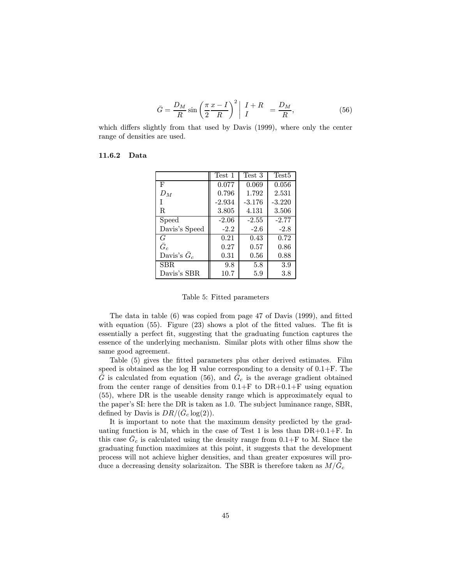$$
\bar{G} = \frac{D_M}{R} \sin\left(\frac{\pi}{2} \frac{x - I}{R}\right)^2 \left| \begin{array}{cc} I + R \\ I \end{array} \right| = \frac{D_M}{R},\tag{56}
$$

which differs slightly from that used by Davis (1999), where only the center range of densities are used.

### 11.6.2 Data

|                     | Test 1   | Test 3   | Test <sub>5</sub> |
|---------------------|----------|----------|-------------------|
| F                   | 0.077    | 0.069    | 0.056             |
| $D_M$               | 0.796    | 1.792    | 2.531             |
| T                   | $-2.934$ | $-3.176$ | $-3.220$          |
| R.                  | 3.805    | 4.131    | 3.506             |
| Speed               | $-2.06$  | $-2.55$  | $-2.77$           |
| Davis's Speed       | $-2.2$   | $-2.6$   | $-2.8$            |
| Ğ                   | 0.21     | 0.43     | 0.72              |
| $\bar{G}_c$         | 0.27     | 0.57     | 0.86              |
| Davis's $\bar{G}_c$ | 0.31     | 0.56     | 0.88              |
| SBR.                | 9.8      | 5.8      | 3.9               |
| Davis's SBR         | 10.7     | 5.9      | 3.8               |

#### Table 5: Fitted parameters

The data in table (6) was copied from page 47 of Davis (1999), and fitted with equation (55). Figure (23) shows a plot of the fitted values. The fit is essentially a perfect fit, suggesting that the graduating function captures the essence of the underlying mechanism. Similar plots with other films show the same good agreement.

Table (5) gives the fitted parameters plus other derived estimates. Film speed is obtained as the log H value corresponding to a density of  $0.1 + F$ . The  $\bar{G}$  is calculated from equation (56), and  $\bar{G}_c$  is the average gradient obtained from the center range of densities from  $0.1+F$  to  $DR+0.1+F$  using equation (55), where DR is the useable density range which is approximately equal to the paper's SI: here the DR is taken as 1.0. The subject luminance range, SBR, defined by Davis is  $DR/(\bar{G}_c \log(2))$ .

It is important to note that the maximum density predicted by the graduating function is M, which in the case of Test 1 is less than  $DR+0.1+F$ . In this case  $\bar{G}_c$  is calculated using the density range from  $0.1+\mathrm{F}$  to M. Since the graduating function maximizes at this point, it suggests that the development process will not achieve higher densities, and than greater exposures will produce a decreasing density solarizaiton. The SBR is therefore taken as  $M/\bar{G}_c$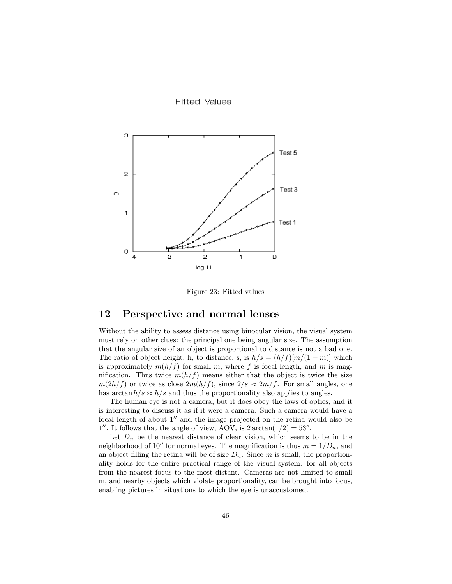**Fifted Values** 



Figure 23: Fitted values

## 12 Perspective and normal lenses

Without the ability to assess distance using binocular vision, the visual system must rely on other clues: the principal one being angular size. The assumption that the angular size of an object is proportional to distance is not a bad one. The ratio of object height, h, to distance, s, is  $h/s = (h/f)[m/(1+m)]$  which is approximately  $m(h/f)$  for small m, where f is focal length, and m is magnification. Thus twice  $m(h/f)$  means either that the object is twice the size  $m(2h/f)$  or twice as close  $2m(h/f)$ , since  $2/s \approx 2m/f$ . For small angles, one has  $\arctan h/s \approx h/s$  and thus the proportionality also applies to angles.

The human eye is not a camera, but it does obey the laws of optics, and it is interesting to discuss it as if it were a camera. Such a camera would have a focal length of about  $1''$  and the image projected on the retina would also be 1''. It follows that the angle of view, AOV, is  $2 \arctan(1/2) = 53^\circ$ .

Let  $D_n$  be the nearest distance of clear vision, which seems to be in the neighborhood of 10" for normal eyes. The magnification is thus  $m = 1/D_n$ , and an object filling the retina will be of size  $D_n$ . Since m is small, the proportionality holds for the entire practical range of the visual system: for all objects from the nearest focus to the most distant. Cameras are not limited to small m, and nearby objects which violate proportionality, can be brought into focus, enabling pictures in situations to which the eye is unaccustomed.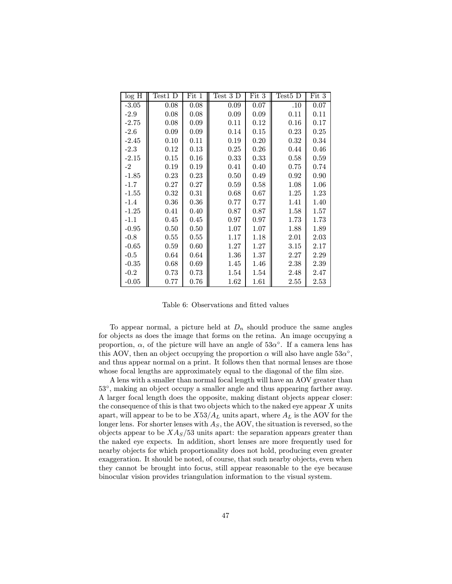| log H   | Test1 D | Fit 1 | Test 3 D | Fit 3 | Test <sub>5</sub> D | Fit 3 |
|---------|---------|-------|----------|-------|---------------------|-------|
| $-3.05$ | 0.08    | 0.08  | 0.09     | 0.07  | .10                 | 0.07  |
| $-2.9$  | 0.08    | 0.08  | 0.09     | 0.09  | 0.11                | 0.11  |
| $-2.75$ | 0.08    | 0.09  | 0.11     | 0.12  | 0.16                | 0.17  |
| $-2.6$  | 0.09    | 0.09  | 0.14     | 0.15  | 0.23                | 0.25  |
| $-2.45$ | 0.10    | 0.11  | 0.19     | 0.20  | 0.32                | 0.34  |
| $-2.3$  | 0.12    | 0.13  | 0.25     | 0.26  | 0.44                | 0.46  |
| $-2.15$ | 0.15    | 0.16  | 0.33     | 0.33  | 0.58                | 0.59  |
| $-2$    | 0.19    | 0.19  | 0.41     | 0.40  | 0.75                | 0.74  |
| $-1.85$ | 0.23    | 0.23  | 0.50     | 0.49  | 0.92                | 0.90  |
| $-1.7$  | 0.27    | 0.27  | 0.59     | 0.58  | 1.08                | 1.06  |
| $-1.55$ | 0.32    | 0.31  | 0.68     | 0.67  | 1.25                | 1.23  |
| $-1.4$  | 0.36    | 0.36  | 0.77     | 0.77  | 1.41                | 1.40  |
| $-1.25$ | 0.41    | 0.40  | 0.87     | 0.87  | 1.58                | 1.57  |
| $-1.1$  | 0.45    | 0.45  | 0.97     | 0.97  | 1.73                | 1.73  |
| $-0.95$ | 0.50    | 0.50  | 1.07     | 1.07  | 1.88                | 1.89  |
| $-0.8$  | 0.55    | 0.55  | 1.17     | 1.18  | 2.01                | 2.03  |
| $-0.65$ | 0.59    | 0.60  | 1.27     | 1.27  | 3.15                | 2.17  |
| $-0.5$  | 0.64    | 0.64  | 1.36     | 1.37  | 2.27                | 2.29  |
| $-0.35$ | 0.68    | 0.69  | 1.45     | 1.46  | 2.38                | 2.39  |
| $-0.2$  | 0.73    | 0.73  | 1.54     | 1.54  | 2.48                | 2.47  |
| $-0.05$ | 0.77    | 0.76  | 1.62     | 1.61  | 2.55                | 2.53  |

Table 6: Observations and fitted values

To appear normal, a picture held at  $D_n$  should produce the same angles for objects as does the image that forms on the retina. An image occupying a proportion,  $\alpha$ , of the picture will have an angle of  $53\alpha^{\circ}$ . If a camera lens has this AOV, then an object occupying the proportion  $\alpha$  will also have angle  $53\alpha^{\circ}$ , and thus appear normal on a print. It follows then that normal lenses are those whose focal lengths are approximately equal to the diagonal of the film size.

A lens with a smaller than normal focal length will have an AOV greater than 53◦, making an object occupy a smaller angle and thus appearing farther away. A larger focal length does the opposite, making distant objects appear closer: the consequence of this is that two objects which to the naked eye appear  $X$  units apart, will appear to be to be  $X_0^2 A_L$  units apart, where  $A_L$  is the AOV for the longer lens. For shorter lenses with  $A<sub>S</sub>$ , the AOV, the situation is reversed, so the objects appear to be  $X\frac{A_S}{53}$  units apart: the separation appears greater than the naked eye expects. In addition, short lenses are more frequently used for nearby objects for which proportionality does not hold, producing even greater exaggeration. It should be noted, of course, that such nearby objects, even when they cannot be brought into focus, still appear reasonable to the eye because binocular vision provides triangulation information to the visual system.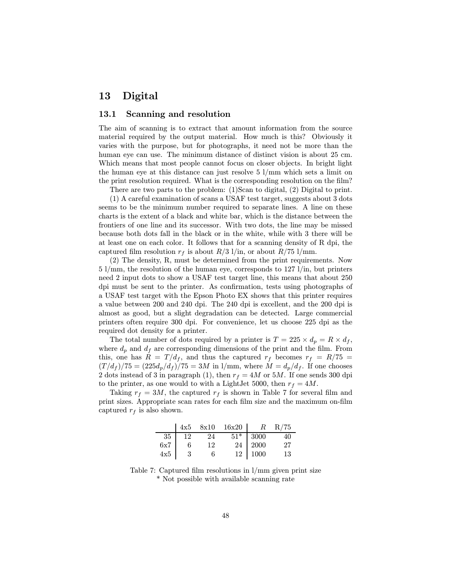## 13 Digital

## 13.1 Scanning and resolution

The aim of scanning is to extract that amount information from the source material required by the output material. How much is this? Obviously it varies with the purpose, but for photographs, it need not be more than the human eye can use. The minimum distance of distinct vision is about 25 cm. Which means that most people cannot focus on closer objects. In bright light the human eye at this distance can just resolve 5 l/mm which sets a limit on the print resolution required. What is the corresponding resolution on the film?

There are two parts to the problem: (1)Scan to digital, (2) Digital to print.

(1) A careful examination of scans a USAF test target, suggests about 3 dots seems to be the minimum number required to separate lines. A line on these charts is the extent of a black and white bar, which is the distance between the frontiers of one line and its successor. With two dots, the line may be missed because both dots fall in the black or in the white, while with 3 there will be at least one on each color. It follows that for a scanning density of R dpi, the captured film resolution  $r_f$  is about  $R/3$  l/in, or about  $R/75$  l/mm.

(2) The density, R, must be determined from the print requirements. Now 5 l/mm, the resolution of the human eye, corresponds to 127 l/in, but printers need 2 input dots to show a USAF test target line, this means that about 250 dpi must be sent to the printer. As confirmation, tests using photographs of a USAF test target with the Epson Photo EX shows that this printer requires a value between 200 and 240 dpi. The 240 dpi is excellent, and the 200 dpi is almost as good, but a slight degradation can be detected. Large commercial printers often require 300 dpi. For convenience, let us choose 225 dpi as the required dot density for a printer.

The total number of dots required by a printer is  $T = 225 \times d_p = R \times d_f$ , where  $d_p$  and  $d_f$  are corresponding dimensions of the print and the film. From this, one has  $R = T/d_f$ , and thus the captured  $r_f$  becomes  $r_f = R/75$  $(T/d_f)/75 = (225d_p/d_f)/75 = 3M$  in 1/mm, where  $M = d_p/d_f$ . If one chooses 2 dots instead of 3 in paragraph (1), then  $r_f = 4M$  or 5M. If one sends 300 dpi to the printer, as one would to with a LightJet 5000, then  $r_f = 4M$ .

Taking  $r_f = 3M$ , the captured  $r_f$  is shown in Table 7 for several film and print sizes. Appropriate scan rates for each film size and the maximum on-film captured  $r_f$  is also shown.

|                 |    |    | $\begin{array}{ c c c c c c c c } \hline 4x5 & 8x10 & 16x20 & R & R/75 \\\hline \end{array}$ |            |     |
|-----------------|----|----|----------------------------------------------------------------------------------------------|------------|-----|
| 35 <sup>1</sup> | 12 | 24 |                                                                                              | $51*$ 3000 | 40  |
| 6x7             | 6  | 12 |                                                                                              | 24 2000    | -27 |
| 4x5             | 3  | 6  |                                                                                              | 12   1000  | 13  |

Table 7: Captured film resolutions in l/mm given print size \* Not possible with available scanning rate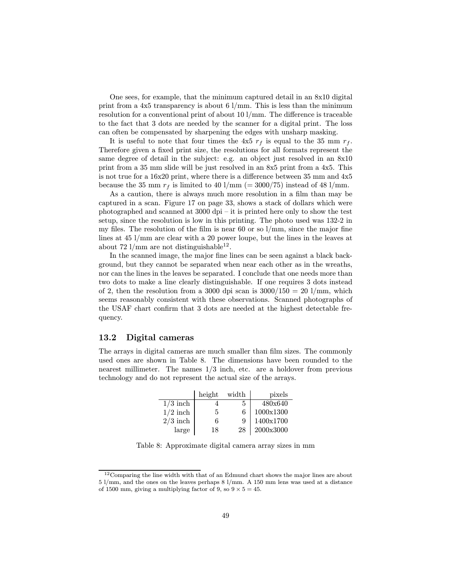One sees, for example, that the minimum captured detail in an 8x10 digital print from a  $4x5$  transparency is about 6  $1/\text{mm}$ . This is less than the minimum resolution for a conventional print of about 10 l/mm. The difference is traceable to the fact that 3 dots are needed by the scanner for a digital print. The loss can often be compensated by sharpening the edges with unsharp masking.

It is useful to note that four times the 4x5  $r_f$  is equal to the 35 mm  $r_f$ . Therefore given a fixed print size, the resolutions for all formats represent the same degree of detail in the subject: e.g. an object just resolved in an 8x10 print from a 35 mm slide will be just resolved in an 8x5 print from a 4x5. This is not true for a 16x20 print, where there is a difference between 35 mm and 4x5 because the 35 mm  $r_f$  is limited to 40 l/mm (= 3000/75) instead of 48 l/mm.

As a caution, there is always much more resolution in a film than may be captured in a scan. Figure 17 on page 33, shows a stack of dollars which were photographed and scanned at  $3000 \text{ dpi} -$  it is printed here only to show the test setup, since the resolution is low in this printing. The photo used was 132-2 in my files. The resolution of the film is near 60 or so  $1/\text{mm}$ , since the major fine lines at 45 l/mm are clear with a 20 power loupe, but the lines in the leaves at about 72 l/mm are not distinguishable<sup>12</sup>.

In the scanned image, the major fine lines can be seen against a black background, but they cannot be separated when near each other as in the wreaths, nor can the lines in the leaves be separated. I conclude that one needs more than two dots to make a line clearly distinguishable. If one requires 3 dots instead of 2, then the resolution from a 3000 dpi scan is  $3000/150 = 20$  l/mm, which seems reasonably consistent with these observations. Scanned photographs of the USAF chart confirm that 3 dots are needed at the highest detectable frequency.

## 13.2 Digital cameras

The arrays in digital cameras are much smaller than film sizes. The commonly used ones are shown in Table 8. The dimensions have been rounded to the nearest millimeter. The names  $1/3$  inch, etc. are a holdover from previous technology and do not represent the actual size of the arrays.

|            | height | width | pixels    |
|------------|--------|-------|-----------|
| $1/3$ inch |        | h,    | 480x640   |
| $1/2$ inch | 5      | 6     | 1000x1300 |
| $2/3$ inch | 6      | 9     | 1400x1700 |
| large      | 18     | 28    | 2000x3000 |

Table 8: Approximate digital camera array sizes in mm

 $12$ Comparing the line width with that of an Edmund chart shows the major lines are about 5 l/mm, and the ones on the leaves perhaps 8 l/mm. A 150 mm lens was used at a distance of 1500 mm, giving a multiplying factor of 9, so  $9 \times 5 = 45$ .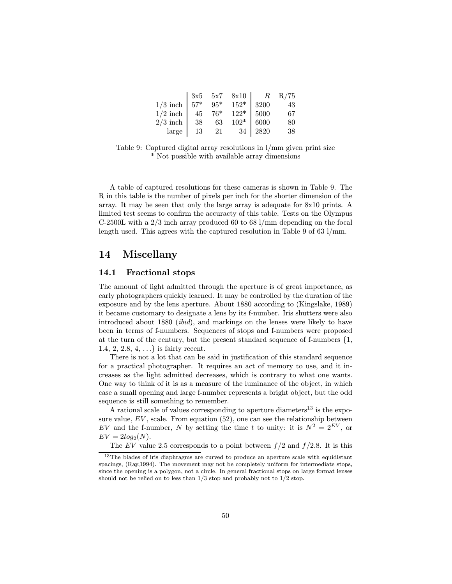|                                       | 3x5 | 5x7   | 8x10   | $R_{\parallel}$ | R/75 |
|---------------------------------------|-----|-------|--------|-----------------|------|
| $1/3$ inch   $\overline{57^* + 95^*}$ |     |       | $152*$ | 3200            | 43   |
| $1/2$ inch                            | 45  | $76*$ | $122*$ | 5000            | 67   |
| $2/3$ inch                            | -38 | 63    | $102*$ | 6000            | 80   |
| large                                 | 13  | 21    | 34     | 2820            | 38   |

Table 9: Captured digital array resolutions in l/mm given print size \* Not possible with available array dimensions

A table of captured resolutions for these cameras is shown in Table 9. The R in this table is the number of pixels per inch for the shorter dimension of the array. It may be seen that only the large array is adequate for 8x10 prints. A limited test seems to confirm the accuracty of this table. Tests on the Olympus C-2500L with a 2/3 inch array produced 60 to 68 l/mm depending on the focal length used. This agrees with the captured resolution in Table 9 of 63 l/mm.

## 14 Miscellany

## 14.1 Fractional stops

The amount of light admitted through the aperture is of great importance, as early photographers quickly learned. It may be controlled by the duration of the exposure and by the lens aperture. About 1880 according to (Kingslake, 1989) it became customary to designate a lens by its f-number. Iris shutters were also introduced about 1880 (ibid), and markings on the lenses were likely to have been in terms of f-numbers. Sequences of stops and f-numbers were proposed at the turn of the century, but the present standard sequence of f-numbers {1, 1.4, 2, 2.8, 4, ...} is fairly recent.

There is not a lot that can be said in justification of this standard sequence for a practical photographer. It requires an act of memory to use, and it increases as the light admitted decreases, which is contrary to what one wants. One way to think of it is as a measure of the luminance of the object, in which case a small opening and large f-number represents a bright object, but the odd sequence is still something to remember.

A rational scale of values corresponding to aperture diameters<sup>13</sup> is the exposure value,  $EV$ , scale. From equation (52), one can see the relationship between EV and the f-number, N by setting the time t to unity: it is  $N^2 = 2^{EV}$ , or  $EV = 2log_2(N)$ .

The EV value 2.5 corresponds to a point between  $f/2$  and  $f/2.8$ . It is this

<sup>&</sup>lt;sup>13</sup>The blades of iris diaphragms are curved to produce an aperture scale with equidistant spacings, (Ray,1994). The movement may not be completely uniform for intermediate stops, since the opening is a polygon, not a circle. In general fractional stops on large format lenses should not be relied on to less than  $1/3$  stop and probably not to  $1/2$  stop.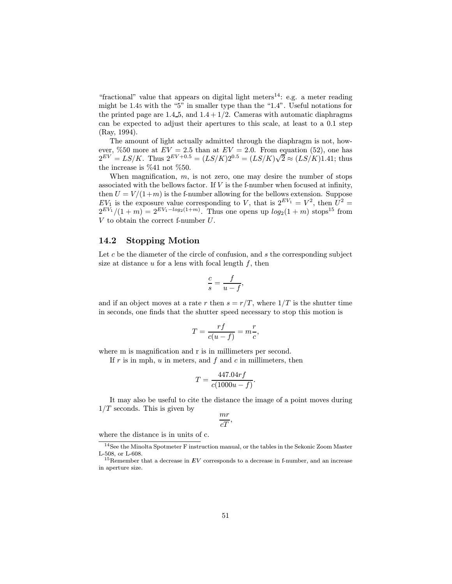"fractional" value that appears on digital light meters<sup>14</sup>: e.g. a meter reading might be 1.4<sup>5</sup> with the "5" in smaller type than the "1.4". Useful notations for the printed page are  $1.4-5$ , and  $1.4+1/2$ . Cameras with automatic diaphragms can be expected to adjust their apertures to this scale, at least to a 0.1 step (Ray, 1994).

The amount of light actually admitted through the diaphragm is not, however, %50 more at  $EV = 2.5$  than at  $EV = 2.0$ . From equation (52), one has  $2^{EV} = LS/K$ . Thus  $2^{EV+0.5} = (LS/K)2^{0.5} = (LS/K)\sqrt{2} \approx (LS/K)1.41$ ; thus the increase is %41 not %50.

When magnification,  $m$ , is not zero, one may desire the number of stops associated with the bellows factor. If  $V$  is the f-number when focused at infinity, then  $U = V/(1+m)$  is the f-number allowing for the bellows extension. Suppose  $EV_1$  is the exposure value corresponding to V, that is  $2^{EV_1} = V^2$ , then  $U^2 =$  $2^{EV_1}/(1+m) = 2^{EV_1-log_2(1+m)}$ . Thus one opens up  $log_2(1 + m)$  stops<sup>15</sup> from V to obtain the correct f-number U.

## 14.2 Stopping Motion

Let  $c$  be the diameter of the circle of confusion, and  $s$  the corresponding subject size at distance  $u$  for a lens with focal length  $f$ , then

$$
\frac{c}{s} = \frac{f}{u - f},
$$

and if an object moves at a rate r then  $s = r/T$ , where  $1/T$  is the shutter time in seconds, one finds that the shutter speed necessary to stop this motion is

$$
T = \frac{rf}{c(u-f)} = m\frac{r}{c},
$$

where m is magnification and r is in millimeters per second.

If  $r$  is in mph,  $u$  in meters, and  $f$  and  $c$  in millimeters, then

$$
T = \frac{447.04rf}{c(1000u - f)}.
$$

It may also be useful to cite the distance the image of a point moves during  $1/T$  seconds. This is given by

$$
\frac{mr}{cT},
$$

where the distance is in units of c.

<sup>14</sup>See the Minolta Spotmeter F instruction manual, or the tables in the Sekonic Zoom Master L-508, or L-608.

<sup>&</sup>lt;sup>15</sup>Remember that a decrease in  $EV$  corresponds to a decrease in f-number, and an increase in aperture size.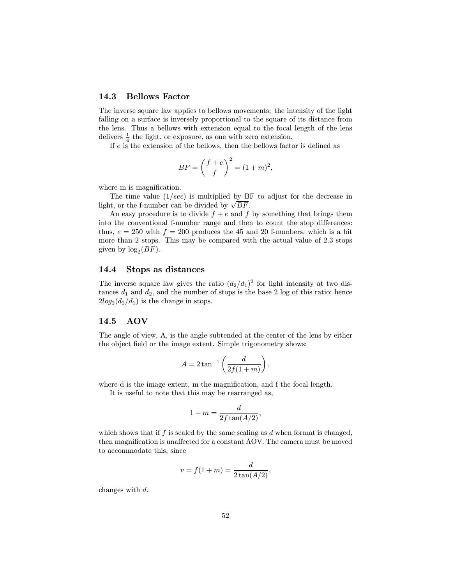## 14.3 Bellows Factor

The inverse square law applies to bellows movements: the intensity of the light falling on a surface is inversely proportional to the square of its distance from the lens. Thus a bellows with extension equal to the focal length of the lens delivers  $\frac{1}{4}$  the light, or exposure, as one with zero extension.

If  $e$  is the extension of the bellows, then the bellows factor is defined as

$$
BF = \left(\frac{f+e}{f}\right)^2 = (1+m)^2,
$$

where m is magnification.

The time value  $(1/sec)$  is multiplied by BF to adjust for the decrease in light, or the f-number can be divided by  $\sqrt{BF}$ .

An easy procedure is to divide  $f + e$  and f by something that brings them into the conventional f-number range and then to count the stop differences: thus,  $e = 250$  with  $f = 200$  produces the 45 and 20 f-numbers, which is a bit more than 2 stops. This may be compared with the actual value of 2.3 stops given by  $log_2(BF)$ .

## 14.4 Stops as distances

The inverse square law gives the ratio  $(d_2/d_1)^2$  for light intensity at two distances  $d_1$  and  $d_2$ , and the number of stops is the base 2 log of this ratio; hence  $2log_2(d_2/d_1)$  is the change in stops.

## 14.5 AOV

The angle of view, A, is the angle subtended at the center of the lens by either the object field or the image extent. Simple trigonometry shows:

$$
A = 2 \tan^{-1} \left( \frac{d}{2f(1+m)} \right),
$$

where d is the image extent, m the magnification, and f the focal length.

It is useful to note that this may be rearranged as,

$$
1 + m = \frac{d}{2f \tan(A/2)},
$$

which shows that if  $f$  is scaled by the same scaling as  $d$  when format is changed, then magnification is unaffected for a constant AOV. The camera must be moved to accommodate this, since

$$
v = f(1 + m) = \frac{d}{2\tan(A/2)},
$$

changes with d.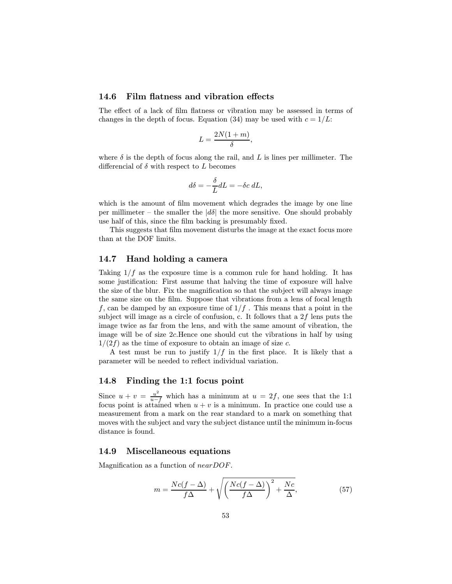### 14.6 Film flatness and vibration effects

The effect of a lack of film flatness or vibration may be assessed in terms of changes in the depth of focus. Equation (34) may be used with  $c = 1/L$ .

$$
L = \frac{2N(1+m)}{\delta},
$$

where  $\delta$  is the depth of focus along the rail, and L is lines per millimeter. The differencial of  $\delta$  with respect to  $L$  becomes

$$
d\delta = -\frac{\delta}{L}dL = -\delta c \, dL,
$$

which is the amount of film movement which degrades the image by one line per millimeter – the smaller the  $|d\delta|$  the more sensitive. One should probably use half of this, since the film backing is presumably fixed.

This suggests that film movement disturbs the image at the exact focus more than at the DOF limits.

## 14.7 Hand holding a camera

Taking  $1/f$  as the exposure time is a common rule for hand holding. It has some justification: First assume that halving the time of exposure will halve the size of the blur. Fix the magnification so that the subject will always image the same size on the film. Suppose that vibrations from a lens of focal length f, can be damped by an exposure time of  $1/f$  . This means that a point in the subject will image as a circle of confusion, c. It follows that a  $2f$  lens puts the image twice as far from the lens, and with the same amount of vibration, the image will be of size 2c.Hence one should cut the vibrations in half by using  $1/(2f)$  as the time of exposure to obtain an image of size c.

A test must be run to justify  $1/f$  in the first place. It is likely that a parameter will be needed to reflect individual variation.

## 14.8 Finding the 1:1 focus point

Since  $u + v = \frac{u^2}{u - f}$  which has a minimum at  $u = 2f$ , one sees that the 1:1 focus point is attained when  $u + v$  is a minimum. In practice one could use a measurement from a mark on the rear standard to a mark on something that moves with the subject and vary the subject distance until the minimum in-focus distance is found.

#### 14.9 Miscellaneous equations

Magnification as a function of nearDOF.

$$
m = \frac{Nc(f - \Delta)}{f\Delta} + \sqrt{\left(\frac{Nc(f - \Delta)}{f\Delta}\right)^2 + \frac{Nc}{\Delta}},\tag{57}
$$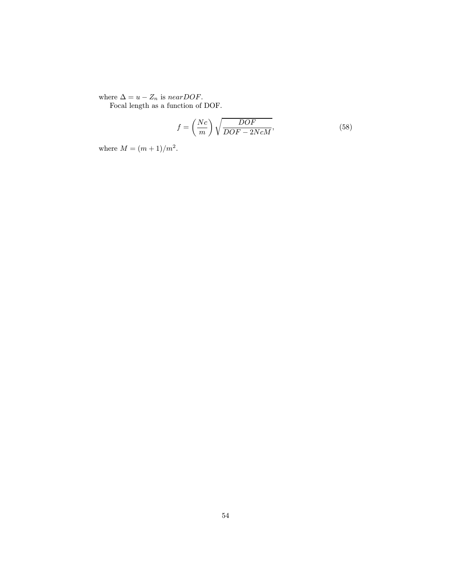where  $\Delta = u - Z_n$  is near DOF.

Focal length as a function of DOF.

$$
f = \left(\frac{Nc}{m}\right)\sqrt{\frac{DOF}{DOF - 2NcM}},\tag{58}
$$

where  $M = (m + 1)/m^2$ .